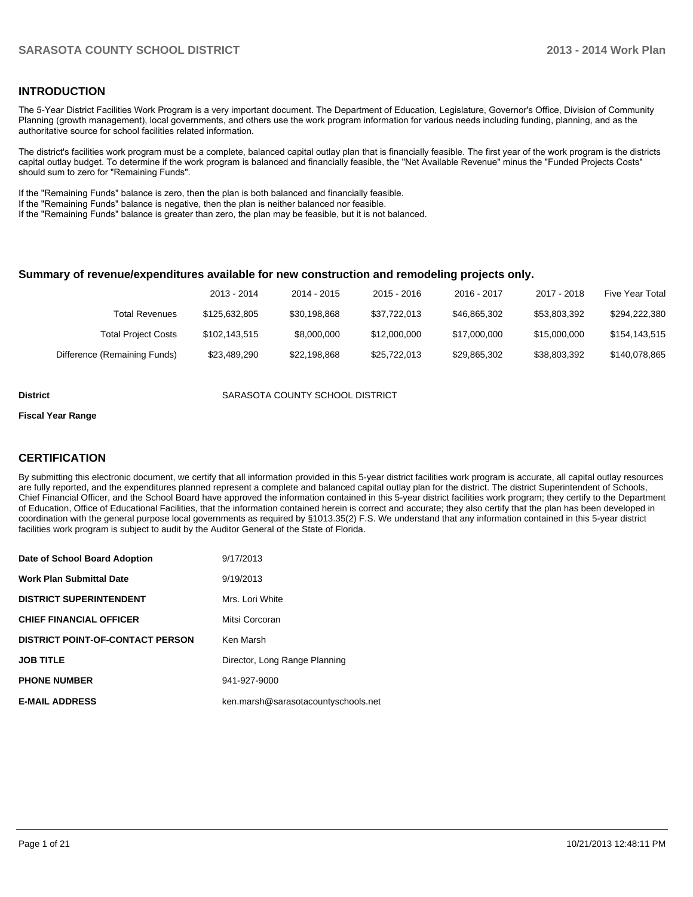#### **INTRODUCTION**

The 5-Year District Facilities Work Program is a very important document. The Department of Education, Legislature, Governor's Office, Division of Community Planning (growth management), local governments, and others use the work program information for various needs including funding, planning, and as the authoritative source for school facilities related information.

The district's facilities work program must be a complete, balanced capital outlay plan that is financially feasible. The first year of the work program is the districts capital outlay budget. To determine if the work program is balanced and financially feasible, the "Net Available Revenue" minus the "Funded Projects Costs" should sum to zero for "Remaining Funds".

If the "Remaining Funds" balance is zero, then the plan is both balanced and financially feasible.

If the "Remaining Funds" balance is negative, then the plan is neither balanced nor feasible.

If the "Remaining Funds" balance is greater than zero, the plan may be feasible, but it is not balanced.

#### **Summary of revenue/expenditures available for new construction and remodeling projects only.**

|                              | 2013 - 2014   | 2014 - 2015  | 2015 - 2016  | 2016 - 2017  | 2017 - 2018  | <b>Five Year Total</b> |
|------------------------------|---------------|--------------|--------------|--------------|--------------|------------------------|
| Total Revenues               | \$125,632,805 | \$30.198.868 | \$37,722,013 | \$46,865,302 | \$53.803.392 | \$294,222,380          |
| <b>Total Project Costs</b>   | \$102,143,515 | \$8,000,000  | \$12,000,000 | \$17,000,000 | \$15,000,000 | \$154,143,515          |
| Difference (Remaining Funds) | \$23,489,290  | \$22.198.868 | \$25.722.013 | \$29.865.302 | \$38,803,392 | \$140,078,865          |

**District** SARASOTA COUNTY SCHOOL DISTRICT

#### **Fiscal Year Range**

#### **CERTIFICATION**

By submitting this electronic document, we certify that all information provided in this 5-year district facilities work program is accurate, all capital outlay resources are fully reported, and the expenditures planned represent a complete and balanced capital outlay plan for the district. The district Superintendent of Schools, Chief Financial Officer, and the School Board have approved the information contained in this 5-year district facilities work program; they certify to the Department of Education, Office of Educational Facilities, that the information contained herein is correct and accurate; they also certify that the plan has been developed in coordination with the general purpose local governments as required by §1013.35(2) F.S. We understand that any information contained in this 5-year district facilities work program is subject to audit by the Auditor General of the State of Florida.

| Date of School Board Adoption           | 9/17/2013                           |
|-----------------------------------------|-------------------------------------|
| Work Plan Submittal Date                | 9/19/2013                           |
| <b>DISTRICT SUPERINTENDENT</b>          | Mrs. Lori White                     |
| <b>CHIEF FINANCIAL OFFICER</b>          | Mitsi Corcoran                      |
| <b>DISTRICT POINT-OF-CONTACT PERSON</b> | Ken Marsh                           |
| <b>JOB TITLE</b>                        | Director, Long Range Planning       |
| <b>PHONE NUMBER</b>                     | 941-927-9000                        |
| <b>E-MAIL ADDRESS</b>                   | ken.marsh@sarasotacountyschools.net |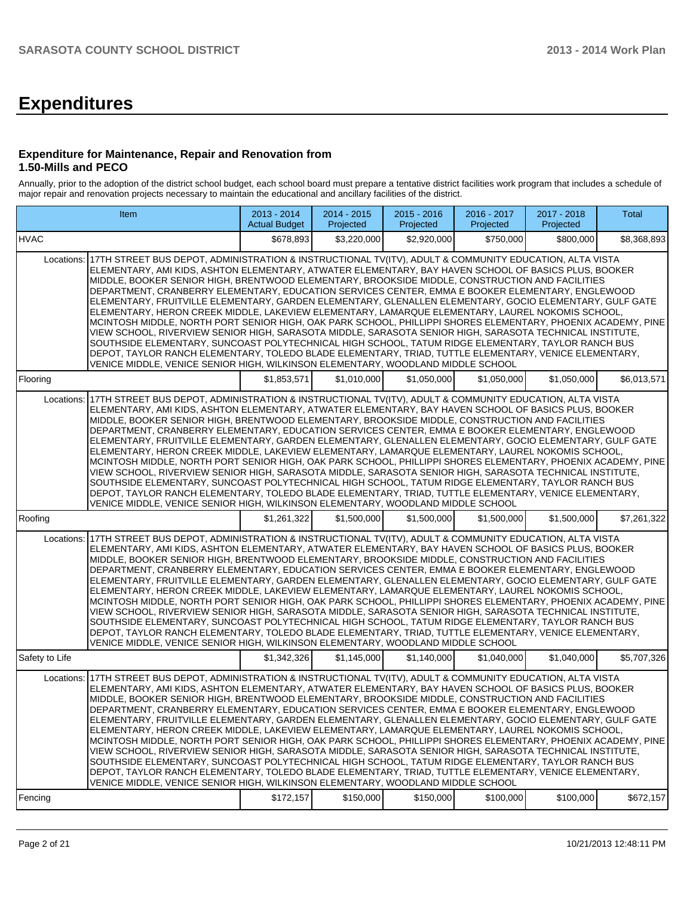# **Expenditures**

#### **Expenditure for Maintenance, Repair and Renovation from 1.50-Mills and PECO**

Annually, prior to the adoption of the district school budget, each school board must prepare a tentative district facilities work program that includes a schedule of major repair and renovation projects necessary to maintain the educational and ancillary facilities of the district.

|                | Item                                                                                                                                                                                                                                                                                                                                                                                                                                                                                                                                                                                                                                                                                                                                                                                                                                                                                                                                                                                                                                                                                                                                                                          | 2013 - 2014<br><b>Actual Budget</b> | 2014 - 2015<br>Projected | 2015 - 2016<br>Projected | 2016 - 2017<br>Projected | 2017 - 2018<br>Projected | Total       |
|----------------|-------------------------------------------------------------------------------------------------------------------------------------------------------------------------------------------------------------------------------------------------------------------------------------------------------------------------------------------------------------------------------------------------------------------------------------------------------------------------------------------------------------------------------------------------------------------------------------------------------------------------------------------------------------------------------------------------------------------------------------------------------------------------------------------------------------------------------------------------------------------------------------------------------------------------------------------------------------------------------------------------------------------------------------------------------------------------------------------------------------------------------------------------------------------------------|-------------------------------------|--------------------------|--------------------------|--------------------------|--------------------------|-------------|
| <b>IHVAC</b>   |                                                                                                                                                                                                                                                                                                                                                                                                                                                                                                                                                                                                                                                                                                                                                                                                                                                                                                                                                                                                                                                                                                                                                                               | \$678,893                           | \$3,220,000              | \$2,920,000              | \$750,000                | \$800,000                | \$8,368,893 |
|                | Locations: 17TH STREET BUS DEPOT, ADMINISTRATION & INSTRUCTIONAL TV(ITV), ADULT & COMMUNITY EDUCATION, ALTA VISTA<br>ELEMENTARY, AMI KIDS, ASHTON ELEMENTARY, ATWATER ELEMENTARY, BAY HAVEN SCHOOL OF BASICS PLUS, BOOKER<br>MIDDLE, BOOKER SENIOR HIGH, BRENTWOOD ELEMENTARY, BROOKSIDE MIDDLE, CONSTRUCTION AND FACILITIES<br>DEPARTMENT, CRANBERRY ELEMENTARY, EDUCATION SERVICES CENTER, EMMA E BOOKER ELEMENTARY, ENGLEWOOD<br>ELEMENTARY, FRUITVILLE ELEMENTARY, GARDEN ELEMENTARY, GLENALLEN ELEMENTARY, GOCIO ELEMENTARY, GULF GATE<br>ELEMENTARY, HERON CREEK MIDDLE, LAKEVIEW ELEMENTARY, LAMARQUE ELEMENTARY, LAUREL NOKOMIS SCHOOL,<br>MCINTOSH MIDDLE, NORTH PORT SENIOR HIGH, OAK PARK SCHOOL, PHILLIPPI SHORES ELEMENTARY, PHOENIX ACADEMY, PINE<br>VIEW SCHOOL, RIVERVIEW SENIOR HIGH, SARASOTA MIDDLE, SARASOTA SENIOR HIGH, SARASOTA TECHNICAL INSTITUTE,<br>SOUTHSIDE ELEMENTARY, SUNCOAST POLYTECHNICAL HIGH SCHOOL, TATUM RIDGE ELEMENTARY, TAYLOR RANCH BUS<br>DEPOT, TAYLOR RANCH ELEMENTARY, TOLEDO BLADE ELEMENTARY, TRIAD, TUTTLE ELEMENTARY, VENICE ELEMENTARY,<br>VENICE MIDDLE, VENICE SENIOR HIGH, WILKINSON ELEMENTARY, WOODLAND MIDDLE SCHOOL |                                     |                          |                          |                          |                          |             |
| Flooring       |                                                                                                                                                                                                                                                                                                                                                                                                                                                                                                                                                                                                                                                                                                                                                                                                                                                                                                                                                                                                                                                                                                                                                                               | \$1,853,571                         | \$1.010.000              | \$1.050,000              | \$1,050,000              | \$1,050,000              | \$6,013,571 |
|                | Locations: 17TH STREET BUS DEPOT, ADMINISTRATION & INSTRUCTIONAL TV(ITV), ADULT & COMMUNITY EDUCATION, ALTA VISTA<br>ELEMENTARY, AMI KIDS, ASHTON ELEMENTARY, ATWATER ELEMENTARY, BAY HAVEN SCHOOL OF BASICS PLUS, BOOKER<br>MIDDLE, BOOKER SENIOR HIGH, BRENTWOOD ELEMENTARY, BROOKSIDE MIDDLE, CONSTRUCTION AND FACILITIES<br>DEPARTMENT, CRANBERRY ELEMENTARY, EDUCATION SERVICES CENTER, EMMA E BOOKER ELEMENTARY, ENGLEWOOD<br>ELEMENTARY, FRUITVILLE ELEMENTARY, GARDEN ELEMENTARY, GLENALLEN ELEMENTARY, GOCIO ELEMENTARY, GULF GATE<br>ELEMENTARY, HERON CREEK MIDDLE, LAKEVIEW ELEMENTARY, LAMARQUE ELEMENTARY, LAUREL NOKOMIS SCHOOL,<br>MCINTOSH MIDDLE, NORTH PORT SENIOR HIGH, OAK PARK SCHOOL, PHILLIPPI SHORES ELEMENTARY, PHOENIX ACADEMY, PINE<br>VIEW SCHOOL, RIVERVIEW SENIOR HIGH, SARASOTA MIDDLE, SARASOTA SENIOR HIGH, SARASOTA TECHNICAL INSTITUTE,<br>SOUTHSIDE ELEMENTARY, SUNCOAST POLYTECHNICAL HIGH SCHOOL, TATUM RIDGE ELEMENTARY, TAYLOR RANCH BUS<br>DEPOT, TAYLOR RANCH ELEMENTARY, TOLEDO BLADE ELEMENTARY, TRIAD, TUTTLE ELEMENTARY, VENICE ELEMENTARY,<br>VENICE MIDDLE, VENICE SENIOR HIGH, WILKINSON ELEMENTARY, WOODLAND MIDDLE SCHOOL |                                     |                          |                          |                          |                          |             |
| Roofing        |                                                                                                                                                                                                                                                                                                                                                                                                                                                                                                                                                                                                                                                                                                                                                                                                                                                                                                                                                                                                                                                                                                                                                                               | \$1,261,322                         | \$1,500,000              | \$1,500,000              | \$1,500,000              | \$1,500,000              | \$7,261,322 |
|                | Locations: 17TH STREET BUS DEPOT. ADMINISTRATION & INSTRUCTIONAL TV(ITV). ADULT & COMMUNITY EDUCATION. ALTA VISTA<br>ELEMENTARY, AMI KIDS, ASHTON ELEMENTARY, ATWATER ELEMENTARY, BAY HAVEN SCHOOL OF BASICS PLUS, BOOKER<br>MIDDLE, BOOKER SENIOR HIGH, BRENTWOOD ELEMENTARY, BROOKSIDE MIDDLE, CONSTRUCTION AND FACILITIES<br>DEPARTMENT, CRANBERRY ELEMENTARY, EDUCATION SERVICES CENTER, EMMA E BOOKER ELEMENTARY, ENGLEWOOD<br>ELEMENTARY, FRUITVILLE ELEMENTARY, GARDEN ELEMENTARY, GLENALLEN ELEMENTARY, GOCIO ELEMENTARY, GULF GATE<br>ELEMENTARY, HERON CREEK MIDDLE, LAKEVIEW ELEMENTARY, LAMARQUE ELEMENTARY, LAUREL NOKOMIS SCHOOL,<br>MCINTOSH MIDDLE, NORTH PORT SENIOR HIGH, OAK PARK SCHOOL, PHILLIPPI SHORES ELEMENTARY, PHOENIX ACADEMY, PINE<br>VIEW SCHOOL, RIVERVIEW SENIOR HIGH, SARASOTA MIDDLE, SARASOTA SENIOR HIGH, SARASOTA TECHNICAL INSTITUTE,<br>SOUTHSIDE ELEMENTARY, SUNCOAST POLYTECHNICAL HIGH SCHOOL, TATUM RIDGE ELEMENTARY, TAYLOR RANCH BUS<br>DEPOT, TAYLOR RANCH ELEMENTARY, TOLEDO BLADE ELEMENTARY, TRIAD, TUTTLE ELEMENTARY, VENICE ELEMENTARY,<br>VENICE MIDDLE, VENICE SENIOR HIGH, WILKINSON ELEMENTARY, WOODLAND MIDDLE SCHOOL |                                     |                          |                          |                          |                          |             |
| Safety to Life |                                                                                                                                                                                                                                                                                                                                                                                                                                                                                                                                                                                                                                                                                                                                                                                                                                                                                                                                                                                                                                                                                                                                                                               | \$1,342,326                         | \$1,145,000              | \$1,140,000              | \$1,040,000              | \$1,040,000              | \$5,707,326 |
| Locations:     | 17TH STREET BUS DEPOT, ADMINISTRATION & INSTRUCTIONAL TV(ITV), ADULT & COMMUNITY EDUCATION, ALTA VISTA<br>ELEMENTARY, AMI KIDS, ASHTON ELEMENTARY, ATWATER ELEMENTARY, BAY HAVEN SCHOOL OF BASICS PLUS, BOOKER<br>MIDDLE, BOOKER SENIOR HIGH, BRENTWOOD ELEMENTARY, BROOKSIDE MIDDLE, CONSTRUCTION AND FACILITIES<br>DEPARTMENT, CRANBERRY ELEMENTARY, EDUCATION SERVICES CENTER, EMMA E BOOKER ELEMENTARY, ENGLEWOOD<br>ELEMENTARY, FRUITVILLE ELEMENTARY, GARDEN ELEMENTARY, GLENALLEN ELEMENTARY, GOCIO ELEMENTARY, GULF GATE<br>ELEMENTARY, HERON CREEK MIDDLE, LAKEVIEW ELEMENTARY, LAMARQUE ELEMENTARY, LAUREL NOKOMIS SCHOOL,<br>MCINTOSH MIDDLE, NORTH PORT SENIOR HIGH, OAK PARK SCHOOL, PHILLIPPI SHORES ELEMENTARY, PHOENIX ACADEMY, PINE<br>VIEW SCHOOL, RIVERVIEW SENIOR HIGH, SARASOTA MIDDLE, SARASOTA SENIOR HIGH, SARASOTA TECHNICAL INSTITUTE,<br>SOUTHSIDE ELEMENTARY, SUNCOAST POLYTECHNICAL HIGH SCHOOL, TATUM RIDGE ELEMENTARY, TAYLOR RANCH BUS<br>DEPOT, TAYLOR RANCH ELEMENTARY, TOLEDO BLADE ELEMENTARY, TRIAD, TUTTLE ELEMENTARY, VENICE ELEMENTARY,<br>VENICE MIDDLE, VENICE SENIOR HIGH, WILKINSON ELEMENTARY, WOODLAND MIDDLE SCHOOL            |                                     |                          |                          |                          |                          |             |
| Fencing        |                                                                                                                                                                                                                                                                                                                                                                                                                                                                                                                                                                                                                                                                                                                                                                                                                                                                                                                                                                                                                                                                                                                                                                               | \$172,157                           | \$150,000                | \$150,000                | \$100,000                | \$100,000                | \$672,157   |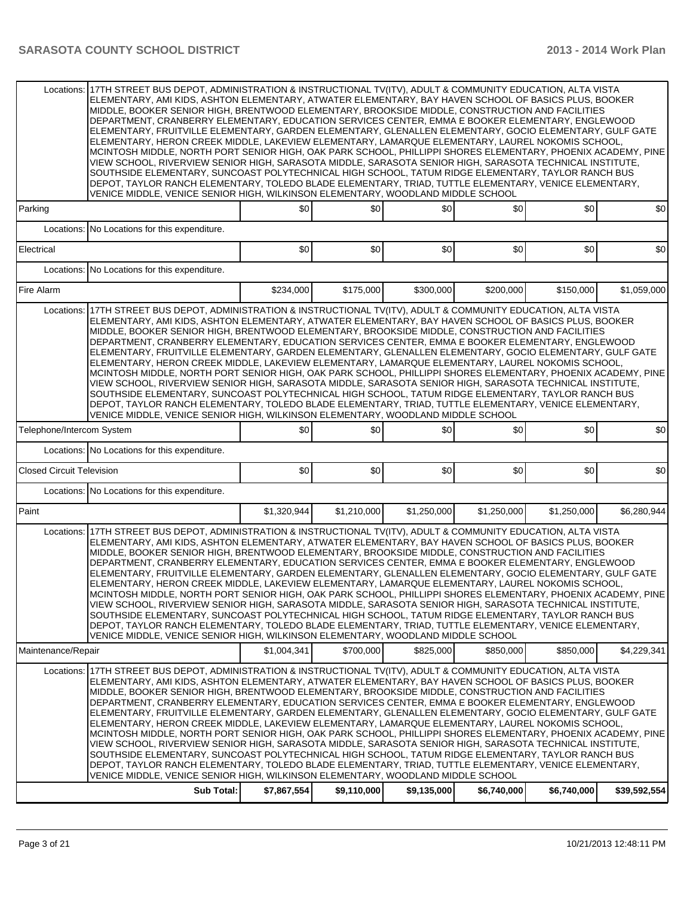|                                  | Locations: 17TH STREET BUS DEPOT, ADMINISTRATION & INSTRUCTIONAL TV(ITV), ADULT & COMMUNITY EDUCATION, ALTA VISTA<br>ELEMENTARY, AMI KIDS, ASHTON ELEMENTARY, ATWATER ELEMENTARY, BAY HAVEN SCHOOL OF BASICS PLUS, BOOKER<br>MIDDLE, BOOKER SENIOR HIGH, BRENTWOOD ELEMENTARY, BROOKSIDE MIDDLE, CONSTRUCTION AND FACILITIES<br>DEPARTMENT, CRANBERRY ELEMENTARY, EDUCATION SERVICES CENTER, EMMA E BOOKER ELEMENTARY, ENGLEWOOD<br>ELEMENTARY, FRUITVILLE ELEMENTARY, GARDEN ELEMENTARY, GLENALLEN ELEMENTARY, GOCIO ELEMENTARY, GULF GATE<br>ELEMENTARY, HERON CREEK MIDDLE, LAKEVIEW ELEMENTARY, LAMARQUE ELEMENTARY, LAUREL NOKOMIS SCHOOL,<br>MCINTOSH MIDDLE, NORTH PORT SENIOR HIGH, OAK PARK SCHOOL, PHILLIPPI SHORES ELEMENTARY, PHOENIX ACADEMY, PINE<br>VIEW SCHOOL, RIVERVIEW SENIOR HIGH, SARASOTA MIDDLE, SARASOTA SENIOR HIGH, SARASOTA TECHNICAL INSTITUTE,<br>SOUTHSIDE ELEMENTARY, SUNCOAST POLYTECHNICAL HIGH SCHOOL, TATUM RIDGE ELEMENTARY, TAYLOR RANCH BUS<br>DEPOT, TAYLOR RANCH ELEMENTARY, TOLEDO BLADE ELEMENTARY, TRIAD, TUTTLE ELEMENTARY, VENICE ELEMENTARY,<br>VENICE MIDDLE, VENICE SENIOR HIGH, WILKINSON ELEMENTARY, WOODLAND MIDDLE SCHOOL |             |             |             |             |             |              |
|----------------------------------|-------------------------------------------------------------------------------------------------------------------------------------------------------------------------------------------------------------------------------------------------------------------------------------------------------------------------------------------------------------------------------------------------------------------------------------------------------------------------------------------------------------------------------------------------------------------------------------------------------------------------------------------------------------------------------------------------------------------------------------------------------------------------------------------------------------------------------------------------------------------------------------------------------------------------------------------------------------------------------------------------------------------------------------------------------------------------------------------------------------------------------------------------------------------------------|-------------|-------------|-------------|-------------|-------------|--------------|
| Parking                          |                                                                                                                                                                                                                                                                                                                                                                                                                                                                                                                                                                                                                                                                                                                                                                                                                                                                                                                                                                                                                                                                                                                                                                               | \$0         | \$0         | \$0         | \$0         | \$0         | \$0          |
| Electrical                       | Locations: No Locations for this expenditure.                                                                                                                                                                                                                                                                                                                                                                                                                                                                                                                                                                                                                                                                                                                                                                                                                                                                                                                                                                                                                                                                                                                                 | \$0         | \$0         | \$0         | \$0         | \$0         | \$0          |
|                                  | Locations: No Locations for this expenditure.                                                                                                                                                                                                                                                                                                                                                                                                                                                                                                                                                                                                                                                                                                                                                                                                                                                                                                                                                                                                                                                                                                                                 |             |             |             |             |             |              |
| Fire Alarm                       |                                                                                                                                                                                                                                                                                                                                                                                                                                                                                                                                                                                                                                                                                                                                                                                                                                                                                                                                                                                                                                                                                                                                                                               | \$234,000   | \$175,000   | \$300,000   | \$200,000   | \$150,000   | \$1,059,000  |
| Locations:                       | 17TH STREET BUS DEPOT, ADMINISTRATION & INSTRUCTIONAL TV(ITV), ADULT & COMMUNITY EDUCATION, ALTA VISTA                                                                                                                                                                                                                                                                                                                                                                                                                                                                                                                                                                                                                                                                                                                                                                                                                                                                                                                                                                                                                                                                        |             |             |             |             |             |              |
|                                  | ELEMENTARY, AMI KIDS, ASHTON ELEMENTARY, ATWATER ELEMENTARY, BAY HAVEN SCHOOL OF BASICS PLUS, BOOKER<br>MIDDLE, BOOKER SENIOR HIGH, BRENTWOOD ELEMENTARY, BROOKSIDE MIDDLE, CONSTRUCTION AND FACILITIES<br>DEPARTMENT, CRANBERRY ELEMENTARY, EDUCATION SERVICES CENTER, EMMA E BOOKER ELEMENTARY, ENGLEWOOD<br>ELEMENTARY, FRUITVILLE ELEMENTARY, GARDEN ELEMENTARY, GLENALLEN ELEMENTARY, GOCIO ELEMENTARY, GULF GATE<br>ELEMENTARY, HERON CREEK MIDDLE, LAKEVIEW ELEMENTARY, LAMARQUE ELEMENTARY, LAUREL NOKOMIS SCHOOL,<br>MCINTOSH MIDDLE, NORTH PORT SENIOR HIGH, OAK PARK SCHOOL, PHILLIPPI SHORES ELEMENTARY, PHOENIX ACADEMY, PINE<br>VIEW SCHOOL, RIVERVIEW SENIOR HIGH, SARASOTA MIDDLE, SARASOTA SENIOR HIGH, SARASOTA TECHNICAL INSTITUTE,<br>SOUTHSIDE ELEMENTARY, SUNCOAST POLYTECHNICAL HIGH SCHOOL, TATUM RIDGE ELEMENTARY, TAYLOR RANCH BUS<br>DEPOT, TAYLOR RANCH ELEMENTARY, TOLEDO BLADE ELEMENTARY, TRIAD, TUTTLE ELEMENTARY, VENICE ELEMENTARY,<br>VENICE MIDDLE, VENICE SENIOR HIGH, WILKINSON ELEMENTARY, WOODLAND MIDDLE SCHOOL                                                                                                                      |             |             |             |             |             |              |
| Telephone/Intercom System        |                                                                                                                                                                                                                                                                                                                                                                                                                                                                                                                                                                                                                                                                                                                                                                                                                                                                                                                                                                                                                                                                                                                                                                               | \$0         | \$0         | \$0         | \$0         | \$0         | \$0          |
|                                  | Locations: No Locations for this expenditure.                                                                                                                                                                                                                                                                                                                                                                                                                                                                                                                                                                                                                                                                                                                                                                                                                                                                                                                                                                                                                                                                                                                                 |             |             |             |             |             |              |
| <b>Closed Circuit Television</b> |                                                                                                                                                                                                                                                                                                                                                                                                                                                                                                                                                                                                                                                                                                                                                                                                                                                                                                                                                                                                                                                                                                                                                                               | \$0         | \$0         | \$0         | \$0         | \$0         | \$0          |
|                                  | Locations: No Locations for this expenditure.                                                                                                                                                                                                                                                                                                                                                                                                                                                                                                                                                                                                                                                                                                                                                                                                                                                                                                                                                                                                                                                                                                                                 |             |             |             |             |             |              |
| Paint                            |                                                                                                                                                                                                                                                                                                                                                                                                                                                                                                                                                                                                                                                                                                                                                                                                                                                                                                                                                                                                                                                                                                                                                                               | \$1,320,944 | \$1,210,000 | \$1,250,000 | \$1,250,000 | \$1,250,000 | \$6,280,944  |
|                                  | Locations: 17TH STREET BUS DEPOT, ADMINISTRATION & INSTRUCTIONAL TV(ITV), ADULT & COMMUNITY EDUCATION, ALTA VISTA<br>ELEMENTARY, AMI KIDS, ASHTON ELEMENTARY, ATWATER ELEMENTARY, BAY HAVEN SCHOOL OF BASICS PLUS, BOOKER<br>MIDDLE, BOOKER SENIOR HIGH, BRENTWOOD ELEMENTARY, BROOKSIDE MIDDLE, CONSTRUCTION AND FACILITIES<br>DEPARTMENT, CRANBERRY ELEMENTARY, EDUCATION SERVICES CENTER, EMMA E BOOKER ELEMENTARY, ENGLEWOOD<br>ELEMENTARY, FRUITVILLE ELEMENTARY, GARDEN ELEMENTARY, GLENALLEN ELEMENTARY, GOCIO ELEMENTARY, GULF GATE<br>ELEMENTARY, HERON CREEK MIDDLE, LAKEVIEW ELEMENTARY, LAMARQUE ELEMENTARY, LAUREL NOKOMIS SCHOOL,<br>MCINTOSH MIDDLE, NORTH PORT SENIOR HIGH, OAK PARK SCHOOL, PHILLIPPI SHORES ELEMENTARY, PHOENIX ACADEMY, PINE<br>VIEW SCHOOL, RIVERVIEW SENIOR HIGH, SARASOTA MIDDLE, SARASOTA SENIOR HIGH, SARASOTA TECHNICAL INSTITUTE,<br>SOUTHSIDE ELEMENTARY, SUNCOAST POLYTECHNICAL HIGH SCHOOL, TATUM RIDGE ELEMENTARY, TAYLOR RANCH BUS<br>DEPOT, TAYLOR RANCH ELEMENTARY, TOLEDO BLADE ELEMENTARY, TRIAD, TUTTLE ELEMENTARY, VENICE ELEMENTARY,<br>VENICE MIDDLE, VENICE SENIOR HIGH, WILKINSON ELEMENTARY, WOODLAND MIDDLE SCHOOL |             |             |             |             |             |              |
| Maintenance/Repair               |                                                                                                                                                                                                                                                                                                                                                                                                                                                                                                                                                                                                                                                                                                                                                                                                                                                                                                                                                                                                                                                                                                                                                                               | \$1,004,341 | \$700,000   | \$825,000   | \$850,000   | \$850,000   | \$4,229,341  |
| Locations:                       | 17TH STREET BUS DEPOT, ADMINISTRATION & INSTRUCTIONAL TV(ITV), ADULT & COMMUNITY EDUCATION, ALTA VISTA<br>ELEMENTARY, AMI KIDS, ASHTON ELEMENTARY, ATWATER ELEMENTARY, BAY HAVEN SCHOOL OF BASICS PLUS, BOOKER<br>MIDDLE, BOOKER SENIOR HIGH, BRENTWOOD ELEMENTARY, BROOKSIDE MIDDLE, CONSTRUCTION AND FACILITIES<br>DEPARTMENT, CRANBERRY ELEMENTARY, EDUCATION SERVICES CENTER, EMMA E BOOKER ELEMENTARY, ENGLEWOOD<br>ELEMENTARY, FRUITVILLE ELEMENTARY, GARDEN ELEMENTARY, GLENALLEN ELEMENTARY, GOCIO ELEMENTARY, GULF GATE<br>ELEMENTARY, HERON CREEK MIDDLE, LAKEVIEW ELEMENTARY, LAMARQUE ELEMENTARY, LAUREL NOKOMIS SCHOOL,<br>MCINTOSH MIDDLE, NORTH PORT SENIOR HIGH, OAK PARK SCHOOL, PHILLIPPI SHORES ELEMENTARY, PHOENIX ACADEMY, PINE<br>VIEW SCHOOL, RIVERVIEW SENIOR HIGH, SARASOTA MIDDLE, SARASOTA SENIOR HIGH, SARASOTA TECHNICAL INSTITUTE,<br>SOUTHSIDE ELEMENTARY, SUNCOAST POLYTECHNICAL HIGH SCHOOL, TATUM RIDGE ELEMENTARY, TAYLOR RANCH BUS<br>DEPOT, TAYLOR RANCH ELEMENTARY, TOLEDO BLADE ELEMENTARY, TRIAD, TUTTLE ELEMENTARY, VENICE ELEMENTARY,<br>VENICE MIDDLE, VENICE SENIOR HIGH, WILKINSON ELEMENTARY, WOODLAND MIDDLE SCHOOL            |             |             |             |             |             |              |
|                                  | Sub Total:                                                                                                                                                                                                                                                                                                                                                                                                                                                                                                                                                                                                                                                                                                                                                                                                                                                                                                                                                                                                                                                                                                                                                                    | \$7,867,554 | \$9,110,000 | \$9,135,000 | \$6,740,000 | \$6,740,000 | \$39,592,554 |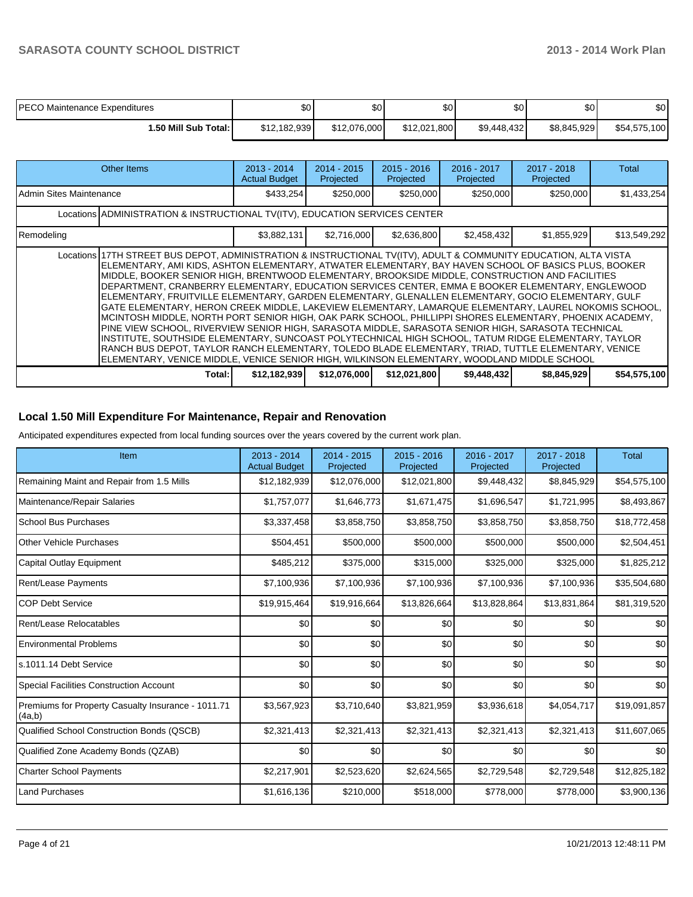| <b>PECO Maintenance Expenditures</b> | \$0          | ሖ<br>υΨ      | ሶስ<br>υU     | \$0 <sub>1</sub> | \$0         | \$0          |
|--------------------------------------|--------------|--------------|--------------|------------------|-------------|--------------|
| <b>.50 Mill Sub Total: I</b>         | \$12,182,939 | \$12,076,000 | \$12.021.800 | \$9,448,432      | \$8,845,929 | \$54,575,100 |

|                         | Other Items                                                                                                                                                                                                                                                                                                                                                                                                                                                                                                                                                                                                                                                                                                                                                                                                                                                                                                                                                                                                                                                                                                                                                                   | $2013 - 2014$<br><b>Actual Budget</b> | $2014 - 2015$<br>Projected | $2015 - 2016$<br>Projected | 2016 - 2017<br>Projected | 2017 - 2018<br>Projected | Total        |
|-------------------------|-------------------------------------------------------------------------------------------------------------------------------------------------------------------------------------------------------------------------------------------------------------------------------------------------------------------------------------------------------------------------------------------------------------------------------------------------------------------------------------------------------------------------------------------------------------------------------------------------------------------------------------------------------------------------------------------------------------------------------------------------------------------------------------------------------------------------------------------------------------------------------------------------------------------------------------------------------------------------------------------------------------------------------------------------------------------------------------------------------------------------------------------------------------------------------|---------------------------------------|----------------------------|----------------------------|--------------------------|--------------------------|--------------|
| Admin Sites Maintenance |                                                                                                                                                                                                                                                                                                                                                                                                                                                                                                                                                                                                                                                                                                                                                                                                                                                                                                                                                                                                                                                                                                                                                                               | \$433,254                             | \$250,000                  | \$250,000                  | \$250,000                | \$250,000                | \$1,433,254  |
|                         | Locations ADMINISTRATION & INSTRUCTIONAL TV(ITV), EDUCATION SERVICES CENTER                                                                                                                                                                                                                                                                                                                                                                                                                                                                                                                                                                                                                                                                                                                                                                                                                                                                                                                                                                                                                                                                                                   |                                       |                            |                            |                          |                          |              |
| Remodeling              |                                                                                                                                                                                                                                                                                                                                                                                                                                                                                                                                                                                                                                                                                                                                                                                                                                                                                                                                                                                                                                                                                                                                                                               | \$3,882,131                           | \$2,716,000                | \$2,636,800                | \$2,458,432              | \$1,855,929              | \$13,549,292 |
|                         | Locations 17TH STREET BUS DEPOT, ADMINISTRATION & INSTRUCTIONAL TV(ITV), ADULT & COMMUNITY EDUCATION, ALTA VISTA<br>ELEMENTARY, AMI KIDS, ASHTON ELEMENTARY, ATWATER ELEMENTARY, BAY HAVEN SCHOOL OF BASICS PLUS, BOOKER<br>MIDDLE. BOOKER SENIOR HIGH. BRENTWOOD ELEMENTARY. BROOKSIDE MIDDLE. CONSTRUCTION AND FACILITIES<br>DEPARTMENT, CRANBERRY ELEMENTARY, EDUCATION SERVICES CENTER, EMMA E BOOKER ELEMENTARY, ENGLEWOOD<br>ELEMENTARY, FRUITVILLE ELEMENTARY, GARDEN ELEMENTARY, GLENALLEN ELEMENTARY, GOCIO ELEMENTARY, GULF<br>GATE ELEMENTARY, HERON CREEK MIDDLE, LAKEVIEW ELEMENTARY, LAMARQUE ELEMENTARY, LAUREL NOKOMIS SCHOOL,<br>MCINTOSH MIDDLE, NORTH PORT SENIOR HIGH, OAK PARK SCHOOL, PHILLIPPI SHORES ELEMENTARY, PHOENIX ACADEMY,<br>PINE VIEW SCHOOL, RIVERVIEW SENIOR HIGH, SARASOTA MIDDLE, SARASOTA SENIOR HIGH, SARASOTA TECHNICAL<br>IINSTITUTE, SOUTHSIDE ELEMENTARY, SUNCOAST POLYTECHNICAL HIGH SCHOOL, TATUM RIDGE ELEMENTARY, TAYLOR<br>RANCH BUS DEPOT, TAYLOR RANCH ELEMENTARY, TOLEDO BLADE ELEMENTARY, TRIAD, TUTTLE ELEMENTARY, VENICE<br>ELEMENTARY, VENICE MIDDLE, VENICE SENIOR HIGH, WILKINSON ELEMENTARY, WOODLAND MIDDLE SCHOOL |                                       |                            |                            |                          |                          |              |
|                         | Total:                                                                                                                                                                                                                                                                                                                                                                                                                                                                                                                                                                                                                                                                                                                                                                                                                                                                                                                                                                                                                                                                                                                                                                        | \$12,182,939                          | \$12,076,000               | \$12,021,800               | \$9,448,432              | \$8,845,929              | \$54,575,100 |

#### **Local 1.50 Mill Expenditure For Maintenance, Repair and Renovation**

Anticipated expenditures expected from local funding sources over the years covered by the current work plan.

| Item                                                         | 2013 - 2014<br><b>Actual Budget</b> | $2014 - 2015$<br>Projected | $2015 - 2016$<br>Projected | 2016 - 2017<br>Projected | 2017 - 2018<br>Projected | <b>Total</b> |
|--------------------------------------------------------------|-------------------------------------|----------------------------|----------------------------|--------------------------|--------------------------|--------------|
| Remaining Maint and Repair from 1.5 Mills                    | \$12,182,939                        | \$12,076,000               | \$12,021,800               | \$9,448,432              | \$8,845,929              | \$54,575,100 |
| Maintenance/Repair Salaries                                  | \$1,757,077                         | \$1,646,773                | \$1,671,475                | \$1,696,547              | \$1,721,995              | \$8,493,867  |
| <b>School Bus Purchases</b>                                  | \$3,337,458                         | \$3,858,750                | \$3,858,750                | \$3,858,750              | \$3,858,750              | \$18,772,458 |
| Other Vehicle Purchases                                      | \$504,451                           | \$500,000                  | \$500,000                  | \$500,000                | \$500,000                | \$2,504,451  |
| Capital Outlay Equipment                                     | \$485,212                           | \$375,000                  | \$315,000                  | \$325,000                | \$325,000                | \$1,825,212  |
| <b>Rent/Lease Payments</b>                                   | \$7,100,936                         | \$7,100,936                | \$7,100,936                | \$7,100,936              | \$7,100,936              | \$35,504,680 |
| <b>COP Debt Service</b>                                      | \$19,915,464                        | \$19,916,664               | \$13,826,664               | \$13,828,864             | \$13,831,864             | \$81,319,520 |
| Rent/Lease Relocatables                                      | \$0                                 | \$0                        | \$0                        | \$0                      | \$0                      | \$0          |
| <b>Environmental Problems</b>                                | \$0                                 | \$0                        | \$0                        | \$0                      | \$0                      | \$0          |
| ls.1011.14 Debt Service                                      | \$0                                 | \$0                        | \$0                        | \$0                      | \$0                      | \$0          |
| <b>Special Facilities Construction Account</b>               | \$0                                 | \$0                        | \$0                        | \$0                      | \$0                      | \$0          |
| Premiums for Property Casualty Insurance - 1011.71<br>(4a,b) | \$3,567,923                         | \$3,710,640                | \$3,821,959                | \$3,936,618              | \$4,054,717              | \$19,091,857 |
| Qualified School Construction Bonds (QSCB)                   | \$2,321,413                         | \$2,321,413                | \$2,321,413                | \$2,321,413              | \$2,321,413              | \$11,607,065 |
| Qualified Zone Academy Bonds (QZAB)                          | \$0                                 | \$0                        | \$0                        | \$0                      | \$0                      | \$0          |
| <b>Charter School Payments</b>                               | \$2,217,901                         | \$2,523,620                | \$2,624,565                | \$2,729,548              | \$2,729,548              | \$12,825,182 |
| <b>Land Purchases</b>                                        | \$1,616,136                         | \$210,000                  | \$518,000                  | \$778,000                | \$778,000                | \$3,900,136  |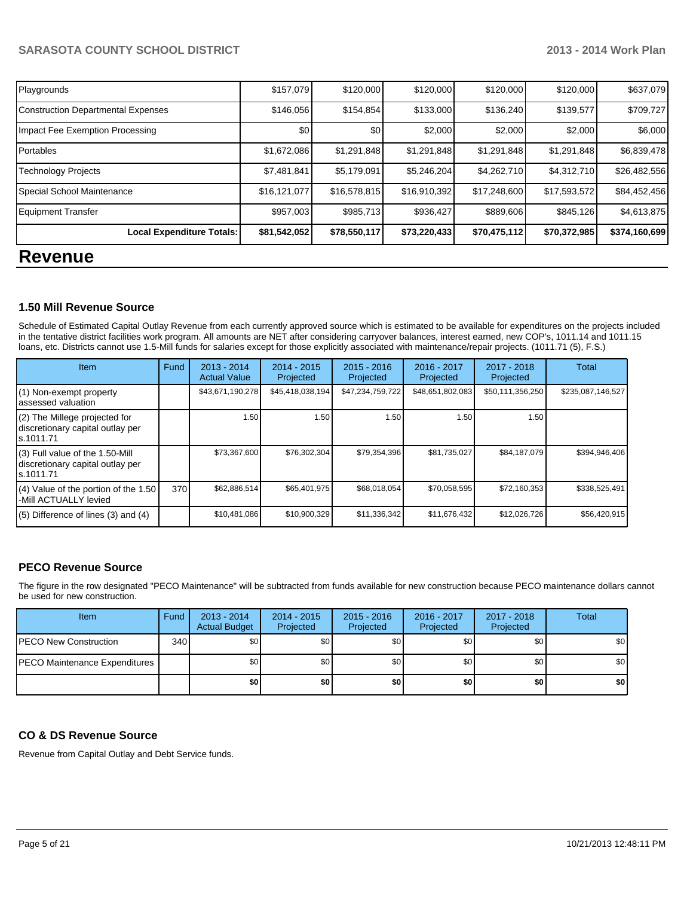| Playgrounds                               | \$157,079    | \$120,000    | \$120,000    | \$120,000    | \$120,000    | \$637,079     |  |  |
|-------------------------------------------|--------------|--------------|--------------|--------------|--------------|---------------|--|--|
| <b>Construction Departmental Expenses</b> | \$146,056    | \$154,854    | \$133,000    | \$136,240    | \$139,577    | \$709,727     |  |  |
| Impact Fee Exemption Processing           | \$0          | \$0          | \$2,000      | \$2,000      | \$2,000      | \$6,000       |  |  |
| Portables                                 | \$1,672,086  | \$1,291,848  | \$1,291,848  | \$1,291,848  | \$1,291,848  | \$6,839,478   |  |  |
| <b>Technology Projects</b>                | \$7,481,841  | \$5,179,091  | \$5,246,204  | \$4,262,710  | \$4,312,710  | \$26,482,556  |  |  |
| Special School Maintenance                | \$16,121,077 | \$16,578,815 | \$16,910,392 | \$17,248,600 | \$17,593,572 | \$84,452,456  |  |  |
| <b>Equipment Transfer</b>                 | \$957,003    | \$985,713    | \$936,427    | \$889,606    | \$845,126    | \$4,613,875   |  |  |
| Local Expenditure Totals:                 | \$81,542,052 | \$78,550,117 | \$73,220,433 | \$70,475,112 | \$70,372,985 | \$374,160,699 |  |  |
| <b>Revenue</b>                            |              |              |              |              |              |               |  |  |

#### **1.50 Mill Revenue Source**

Schedule of Estimated Capital Outlay Revenue from each currently approved source which is estimated to be available for expenditures on the projects included In the tentative district facilities work program. All amounts are NET after considering carryover balances, interest earned, new COP's, 1011.14 and 1011.15 loans, etc. Districts cannot use 1.5-Mill funds for salaries except for those explicitly associated with maintenance/repair projects. (1011.71 (5), F.S.)

| Item                                                                             | Fund | 2013 - 2014<br><b>Actual Value</b> | $2014 - 2015$<br>Projected | $2015 - 2016$<br>Projected | 2016 - 2017<br>Projected | $2017 - 2018$<br>Projected | Total             |
|----------------------------------------------------------------------------------|------|------------------------------------|----------------------------|----------------------------|--------------------------|----------------------------|-------------------|
| (1) Non-exempt property<br>assessed valuation                                    |      | \$43,671,190,278                   | \$45,418,038,194           | \$47,234,759,722           | \$48,651,802,083         | \$50,111,356,250           | \$235,087,146,527 |
| (2) The Millege projected for<br>discretionary capital outlay per<br>ls.1011.71  |      | 1.50                               | 1.50                       | 1.50                       | 1.50                     | 1.50                       |                   |
| (3) Full value of the 1.50-Mill<br>discretionary capital outlay per<br>s.1011.71 |      | \$73,367,600                       | \$76,302,304               | \$79,354,396               | \$81,735,027             | \$84,187,079               | \$394,946,406     |
| (4) Value of the portion of the 1.50<br>-Mill ACTUALLY levied                    | 370  | \$62,886,514                       | \$65,401,975               | \$68,018,054               | \$70,058,595             | \$72,160,353               | \$338,525,491     |
| $(5)$ Difference of lines $(3)$ and $(4)$                                        |      | \$10,481,086                       | \$10,900,329               | \$11,336,342               | \$11,676,432             | \$12,026,726               | \$56,420,915      |

### **PECO Revenue Source**

The figure in the row designated "PECO Maintenance" will be subtracted from funds available for new construction because PECO maintenance dollars cannot be used for new construction.

| <b>Item</b>                           | Fund | $2013 - 2014$<br><b>Actual Budget</b> | $2014 - 2015$<br>Projected | $2015 - 2016$<br>Projected | $2016 - 2017$<br>Projected | 2017 - 2018<br>Projected | Total            |
|---------------------------------------|------|---------------------------------------|----------------------------|----------------------------|----------------------------|--------------------------|------------------|
| <b>PECO New Construction</b>          | 340  | \$0                                   | \$0 <sub>1</sub>           | \$0 <sub>1</sub>           | \$OI                       | \$0 I                    | \$0 <sub>1</sub> |
| <b>IPECO Maintenance Expenditures</b> |      | \$0                                   | \$0 <sub>1</sub>           | \$0 <sub>1</sub>           | \$0 <sub>1</sub>           | \$0                      | \$0              |
|                                       |      | \$0 I                                 | \$0                        | \$0                        | \$0 I                      | \$0                      | \$0              |

#### **CO & DS Revenue Source**

Revenue from Capital Outlay and Debt Service funds.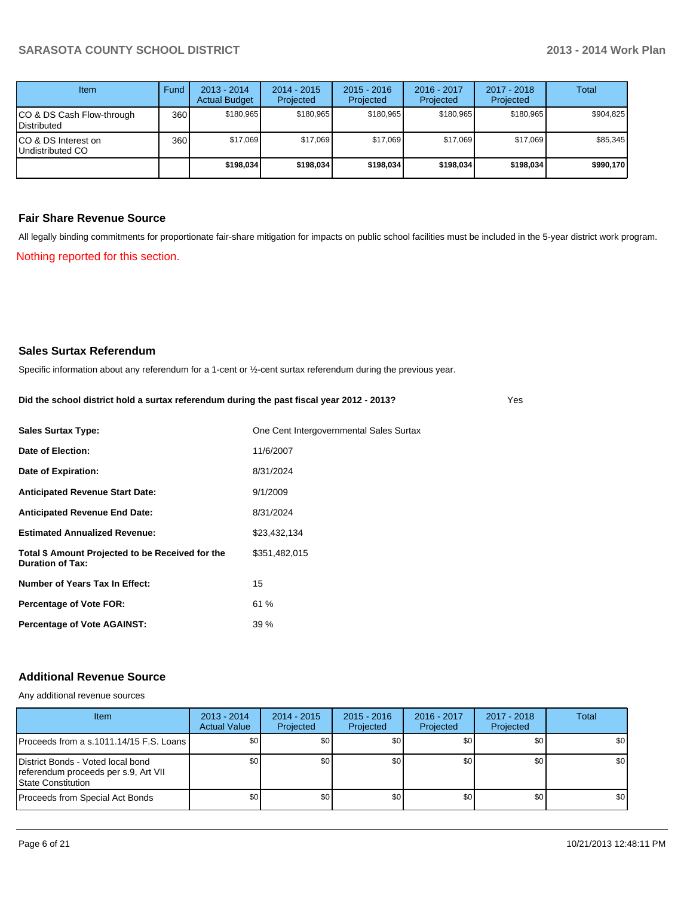Yes

| Item                                            | Fund | $2013 - 2014$<br><b>Actual Budget</b> | $2014 - 2015$<br>Projected | $2015 - 2016$<br>Projected | 2016 - 2017<br>Projected | $2017 - 2018$<br>Projected | Total     |
|-------------------------------------------------|------|---------------------------------------|----------------------------|----------------------------|--------------------------|----------------------------|-----------|
| CO & DS Cash Flow-through<br><b>Distributed</b> | 360  | \$180.965                             | \$180,965                  | \$180.965                  | \$180.965                | \$180.965                  | \$904.825 |
| CO & DS Interest on<br>Undistributed CO         | 360  | \$17.069                              | \$17,069                   | \$17.069                   | \$17.069                 | \$17.069                   | \$85,345  |
|                                                 |      | \$198,034                             | \$198,034                  | \$198,034                  | \$198,034                | \$198,034                  | \$990,170 |

#### **Fair Share Revenue Source**

Nothing reported for this section. All legally binding commitments for proportionate fair-share mitigation for impacts on public school facilities must be included in the 5-year district work program.

#### **Sales Surtax Referendum**

Specific information about any referendum for a 1-cent or ½-cent surtax referendum during the previous year.

| Did the school district hold a surtax referendum during the past fiscal year 2012 - 2013? |  |
|-------------------------------------------------------------------------------------------|--|
|                                                                                           |  |

| <b>Sales Surtax Type:</b>                                                   | One Cent Intergovernmental Sales Surtax |
|-----------------------------------------------------------------------------|-----------------------------------------|
| Date of Election:                                                           | 11/6/2007                               |
| Date of Expiration:                                                         | 8/31/2024                               |
| <b>Anticipated Revenue Start Date:</b>                                      | 9/1/2009                                |
| <b>Anticipated Revenue End Date:</b>                                        | 8/31/2024                               |
| <b>Estimated Annualized Revenue:</b>                                        | \$23,432,134                            |
| Total \$ Amount Projected to be Received for the<br><b>Duration of Tax:</b> | \$351,482,015                           |
| Number of Years Tax In Effect:                                              | 15                                      |
| <b>Percentage of Vote FOR:</b>                                              | 61 %                                    |
| <b>Percentage of Vote AGAINST:</b>                                          | 39%                                     |

### **Additional Revenue Source**

Any additional revenue sources

| Item                                                                                                    | $2013 - 2014$<br><b>Actual Value</b> | $2014 - 2015$<br>Projected | $2015 - 2016$<br>Projected | 2016 - 2017<br>Projected | 2017 - 2018<br>Projected | Total            |
|---------------------------------------------------------------------------------------------------------|--------------------------------------|----------------------------|----------------------------|--------------------------|--------------------------|------------------|
| IProceeds from a s.1011.14/15 F.S. Loans I                                                              | \$0                                  | \$0 <sub>0</sub>           | \$0                        | \$0                      | \$0                      | \$0 <sub>1</sub> |
| District Bonds - Voted local bond<br>referendum proceeds per s.9, Art VII<br><b>IState Constitution</b> | \$0                                  | \$0 <sub>1</sub>           | \$0                        | \$0                      | \$0 <sub>1</sub>         | \$0              |
| Proceeds from Special Act Bonds                                                                         | \$0                                  | \$0 <sub>1</sub>           | \$0                        | SO I                     | \$0 I                    | \$0              |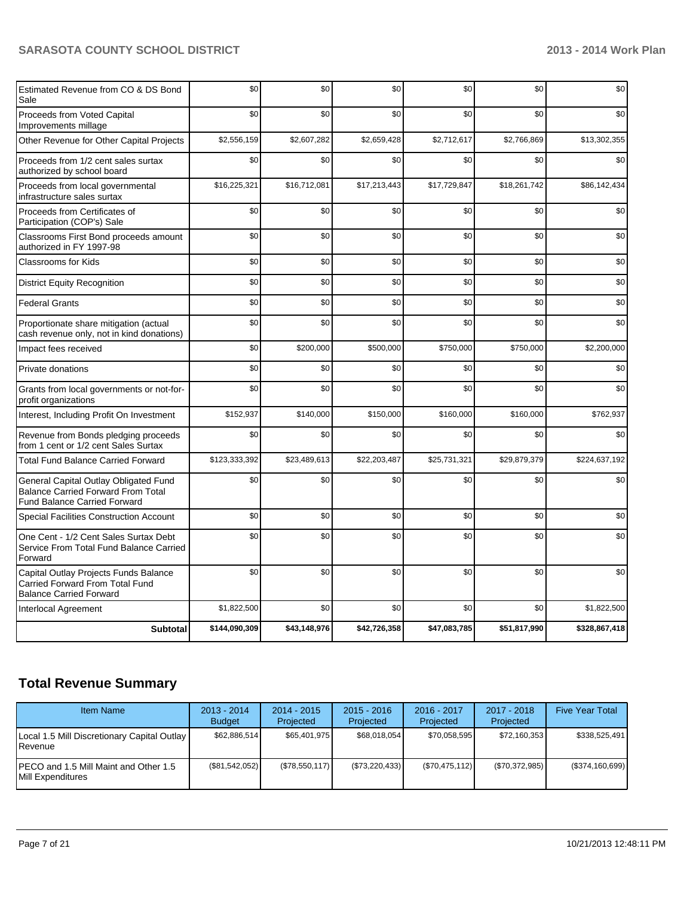| <b>Subtotal</b>                                                                                                           | \$144,090,309 | \$43,148,976 | \$42,726,358 | \$47,083,785 | \$51,817,990 | \$328,867,418 |
|---------------------------------------------------------------------------------------------------------------------------|---------------|--------------|--------------|--------------|--------------|---------------|
| <b>Interlocal Agreement</b>                                                                                               | \$1,822,500   | \$0          | \$0          | \$0          | \$0          | \$1,822,500   |
| Capital Outlay Projects Funds Balance<br>Carried Forward From Total Fund<br><b>Balance Carried Forward</b>                | \$0           | \$0          | \$0          | \$0          | \$0          | \$0           |
| One Cent - 1/2 Cent Sales Surtax Debt<br>Service From Total Fund Balance Carried<br>Forward                               | \$0           | \$0          | \$0          | \$0          | \$0          | \$0           |
| <b>Special Facilities Construction Account</b>                                                                            | \$0           | \$0          | \$0          | \$0          | \$0          | \$0           |
| General Capital Outlay Obligated Fund<br><b>Balance Carried Forward From Total</b><br><b>Fund Balance Carried Forward</b> | \$0           | \$0          | \$0          | \$0          | \$0          | \$0           |
| <b>Total Fund Balance Carried Forward</b>                                                                                 | \$123,333,392 | \$23,489,613 | \$22,203,487 | \$25,731,321 | \$29,879,379 | \$224,637,192 |
| Revenue from Bonds pledging proceeds<br>from 1 cent or 1/2 cent Sales Surtax                                              | \$0           | \$0          | \$0          | \$0          | \$0          | \$0           |
| Interest, Including Profit On Investment                                                                                  | \$152,937     | \$140,000    | \$150,000    | \$160,000    | \$160,000    | \$762,937     |
| Grants from local governments or not-for-<br>profit organizations                                                         | \$0           | \$0          | \$0          | \$0          | \$0          | \$0           |
| Private donations                                                                                                         | \$0           | \$0          | \$0          | \$0          | \$0          | \$0           |
| Impact fees received                                                                                                      | \$0           | \$200,000    | \$500,000    | \$750,000    | \$750,000    | \$2,200,000   |
| Proportionate share mitigation (actual<br>cash revenue only, not in kind donations)                                       | \$0           | \$0          | \$0          | \$0          | \$0          | \$0           |
| <b>Federal Grants</b>                                                                                                     | \$0           | \$0          | \$0          | \$0          | \$0          | \$0           |
| <b>District Equity Recognition</b>                                                                                        | \$0           | \$0          | \$0          | \$0          | \$0          | \$0           |
| <b>Classrooms for Kids</b>                                                                                                | \$0           | \$0          | \$0          | \$0          | \$0          | \$0           |
| Classrooms First Bond proceeds amount<br>authorized in FY 1997-98                                                         | \$0           | \$0          | \$0          | \$0          | \$0          | \$0           |
| Proceeds from Certificates of<br>Participation (COP's) Sale                                                               | \$0           | \$0          | \$0          | \$0          | \$0          | \$0           |
| Proceeds from local governmental<br>infrastructure sales surtax                                                           | \$16,225,321  | \$16,712,081 | \$17,213,443 | \$17,729,847 | \$18,261,742 | \$86,142,434  |
| Proceeds from 1/2 cent sales surtax<br>authorized by school board                                                         | \$0           | \$0          | \$0          | \$0          | \$0          | \$0           |
| Other Revenue for Other Capital Projects                                                                                  | \$2,556,159   | \$2,607,282  | \$2,659,428  | \$2,712,617  | \$2,766,869  | \$13,302,355  |
| Proceeds from Voted Capital<br>Improvements millage                                                                       | \$0           | \$0          | \$0          | \$0          | \$0          | \$0           |
| Estimated Revenue from CO & DS Bond<br>Sale                                                                               | \$0           | \$0          | \$0          | \$0          | \$0          | \$0           |

# **Total Revenue Summary**

| <b>Item Name</b>                                                    | $2013 - 2014$<br><b>Budget</b> | $2014 - 2015$<br>Projected | $2015 - 2016$<br>Projected | $2016 - 2017$<br>Projected | $2017 - 2018$<br>Projected | <b>Five Year Total</b> |
|---------------------------------------------------------------------|--------------------------------|----------------------------|----------------------------|----------------------------|----------------------------|------------------------|
| Local 1.5 Mill Discretionary Capital Outlay<br><b>I</b> Revenue     | \$62,886,514                   | \$65,401,975               | \$68,018,054               | \$70.058.595               | \$72,160,353               | \$338,525.491          |
| IPECO and 1.5 Mill Maint and Other 1.5<br><b>IMill Expenditures</b> | (\$81,542,052)                 | (\$78,550,117)             | $(\$73,220,433)$           | (S70, 475, 112)            | (\$70,372,985)             | (\$374,160,699)        |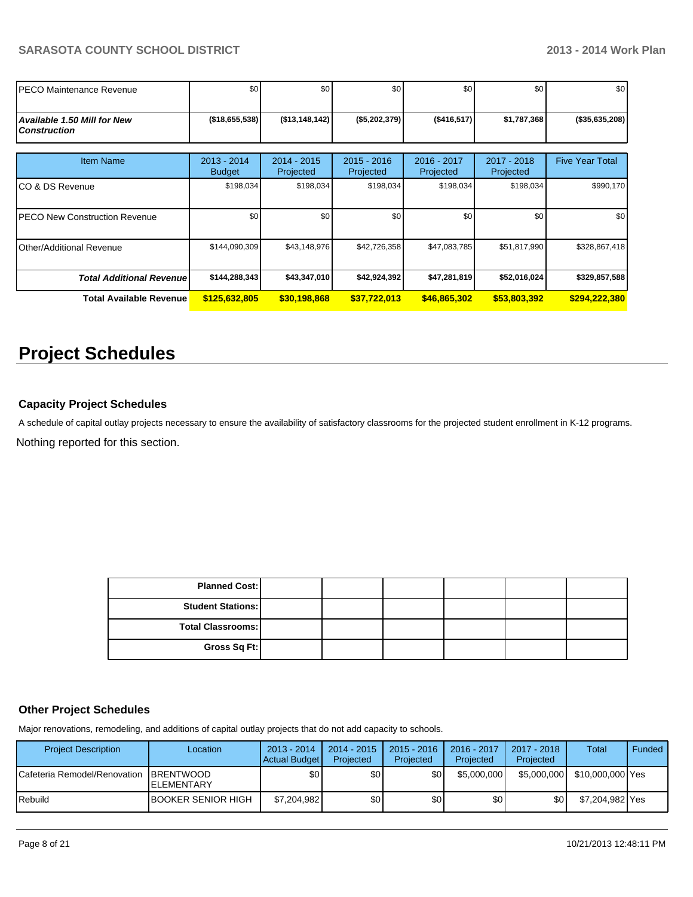| IPECO Maintenance Revenue                                 | \$0                            | \$0                        | \$0                      | \$0                      | \$0                      | \$0                    |
|-----------------------------------------------------------|--------------------------------|----------------------------|--------------------------|--------------------------|--------------------------|------------------------|
| <b>Available 1.50 Mill for New</b><br><b>Construction</b> | ( \$18,655,538)                | $($ \$13,148,142)          | (\$5,202,379)            | (\$416,517)              | \$1,787,368              | $(*35,635,208)$        |
| <b>Item Name</b>                                          | $2013 - 2014$<br><b>Budget</b> | $2014 - 2015$<br>Projected | 2015 - 2016<br>Projected | 2016 - 2017<br>Projected | 2017 - 2018<br>Projected | <b>Five Year Total</b> |
| ICO & DS Revenue                                          | \$198,034                      | \$198,034                  | \$198,034                | \$198,034                | \$198,034                | \$990,170              |
| IPECO New Construction Revenue                            | \$0                            | \$0                        | \$0                      | \$0                      | \$0                      | \$0                    |
| Other/Additional Revenue                                  | \$144,090,309                  | \$43,148,976               | \$42,726,358             | \$47,083,785             | \$51,817,990             | \$328,867,418          |
| <b>Total Additional Revenuel</b>                          | \$144,288,343                  | \$43,347,010               | \$42,924,392             | \$47,281,819             | \$52,016,024             | \$329,857,588          |
| Total Available Revenue                                   | \$125,632,805                  | \$30,198,868               | \$37,722,013             | \$46,865,302             | \$53,803,392             | \$294,222,380          |

# **Project Schedules**

## **Capacity Project Schedules**

Nothing reported for this section. A schedule of capital outlay projects necessary to ensure the availability of satisfactory classrooms for the projected student enrollment in K-12 programs.

| <b>Planned Cost:</b>     |  |  |  |
|--------------------------|--|--|--|
| <b>Student Stations:</b> |  |  |  |
| Total Classrooms:        |  |  |  |
| Gross Sq Ft:             |  |  |  |

#### **Other Project Schedules**

Major renovations, remodeling, and additions of capital outlay projects that do not add capacity to schools.

| <b>Project Description</b>               | Location            | $2013 - 2014$<br><b>Actual Budget</b> | $2014 - 2015$<br>Projected | $2015 - 2016$<br>Projected | 2016 - 2017<br>Projected | 2017 - 2018<br>Projected | Total            | Funded |
|------------------------------------------|---------------------|---------------------------------------|----------------------------|----------------------------|--------------------------|--------------------------|------------------|--------|
| ICafeteria Remodel/Renovation IBRENTWOOD | <b>IELEMENTARY</b>  | \$0 <sub>1</sub>                      | \$0I                       | ا30                        | \$5,000,000              | \$5,000,000              | \$10,000,000 Yes |        |
| l Rebuild                                | IBOOKER SENIOR HIGH | \$7,204,982                           | \$0 <sub>1</sub>           | \$0                        | \$0                      | \$0                      | \$7,204,982 Yes  |        |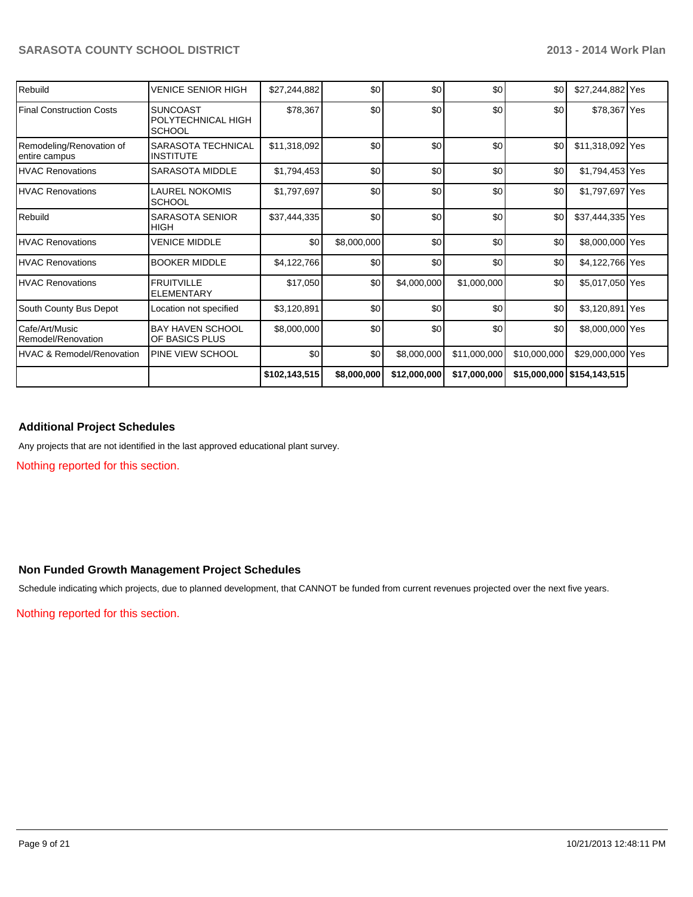| Rebuild                                   | <b>VENICE SENIOR HIGH</b>                              | \$27,244,882  | \$0         | \$0          | \$0          | \$0          | \$27,244,882 Yes             |  |
|-------------------------------------------|--------------------------------------------------------|---------------|-------------|--------------|--------------|--------------|------------------------------|--|
| <b>Final Construction Costs</b>           | <b>SUNCOAST</b><br>POLYTECHNICAL HIGH<br><b>SCHOOL</b> | \$78,367      | \$0         | \$0          | \$0          | \$0          | \$78,367 Yes                 |  |
| Remodeling/Renovation of<br>entire campus | SARASOTA TECHNICAL<br><b>INSTITUTE</b>                 | \$11,318,092  | \$0         | \$0          | \$0          | \$0          | \$11,318,092 Yes             |  |
| <b>HVAC Renovations</b>                   | <b>SARASOTA MIDDLE</b>                                 | \$1,794,453   | \$0         | \$0          | \$0          | \$0          | \$1,794,453 Yes              |  |
| <b>HVAC Renovations</b>                   | LAUREL NOKOMIS<br><b>SCHOOL</b>                        | \$1,797,697   | \$0         | \$0          | \$0          | \$0          | \$1,797,697 Yes              |  |
| Rebuild                                   | <b>SARASOTA SENIOR</b><br><b>HIGH</b>                  | \$37,444,335  | \$0         | \$0          | \$0          | \$0          | \$37,444,335 Yes             |  |
| <b>HVAC Renovations</b>                   | <b>VENICE MIDDLE</b>                                   | \$0           | \$8,000,000 | \$0          | \$0          | \$0          | \$8,000,000 Yes              |  |
| <b>HVAC Renovations</b>                   | <b>BOOKER MIDDLE</b>                                   | \$4,122,766   | \$0         | \$0          | \$0          | \$0          | \$4,122,766 Yes              |  |
| <b>HVAC Renovations</b>                   | <b>FRUITVILLE</b><br><b>ELEMENTARY</b>                 | \$17,050      | \$0         | \$4,000,000  | \$1,000,000  | \$0          | \$5,017,050 Yes              |  |
| South County Bus Depot                    | Location not specified                                 | \$3,120,891   | \$0         | \$0          | \$0          | \$0          | \$3,120,891 Yes              |  |
| l Cafe/Art/Music<br>Remodel/Renovation    | <b>BAY HAVEN SCHOOL</b><br>OF BASICS PLUS              | \$8,000,000   | \$0         | \$0          | \$0          | \$0          | \$8,000,000 Yes              |  |
| <b>HVAC &amp; Remodel/Renovation</b>      | <b>PINE VIEW SCHOOL</b>                                | \$0           | \$0         | \$8,000,000  | \$11,000,000 | \$10,000,000 | \$29,000,000 Yes             |  |
|                                           |                                                        | \$102,143,515 | \$8,000,000 | \$12,000,000 | \$17,000,000 |              | \$15,000,000   \$154,143,515 |  |

#### **Additional Project Schedules**

Any projects that are not identified in the last approved educational plant survey.

Nothing reported for this section.

#### **Non Funded Growth Management Project Schedules**

Schedule indicating which projects, due to planned development, that CANNOT be funded from current revenues projected over the next five years.

Nothing reported for this section.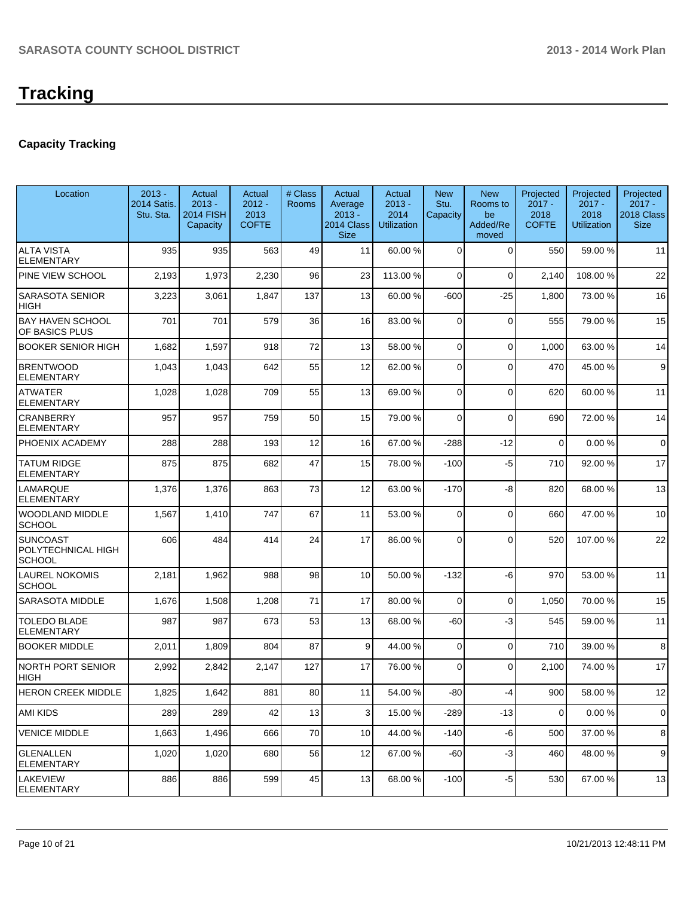# **Tracking**

## **Capacity Tracking**

| Location                                               | $2013 -$<br>2014 Satis.<br>Stu. Sta. | Actual<br>$2013 -$<br><b>2014 FISH</b><br>Capacity | Actual<br>$2012 -$<br>2013<br><b>COFTE</b> | # Class<br>Rooms | Actual<br>Average<br>$2013 -$<br>2014 Class<br><b>Size</b> | Actual<br>$2013 -$<br>2014<br>Utilization | <b>New</b><br>Stu.<br>Capacity | <b>New</b><br>Rooms to<br>be<br>Added/Re<br>moved | Projected<br>$2017 -$<br>2018<br><b>COFTE</b> | Projected<br>$2017 -$<br>2018<br><b>Utilization</b> | Projected<br>$2017 -$<br>2018 Class<br><b>Size</b> |
|--------------------------------------------------------|--------------------------------------|----------------------------------------------------|--------------------------------------------|------------------|------------------------------------------------------------|-------------------------------------------|--------------------------------|---------------------------------------------------|-----------------------------------------------|-----------------------------------------------------|----------------------------------------------------|
| <b>ALTA VISTA</b><br><b>ELEMENTARY</b>                 | 935                                  | 935                                                | 563                                        | 49               | 11                                                         | 60.00 %                                   | $\mathbf 0$                    | $\Omega$                                          | 550                                           | 59.00 %                                             | 11                                                 |
| PINE VIEW SCHOOL                                       | 2,193                                | 1,973                                              | 2,230                                      | 96               | 23                                                         | 113.00%                                   | 0                              | $\Omega$                                          | 2,140                                         | 108.00%                                             | 22                                                 |
| <b>SARASOTA SENIOR</b><br><b>HIGH</b>                  | 3,223                                | 3,061                                              | 1,847                                      | 137              | 13                                                         | 60.00 %                                   | $-600$                         | $-25$                                             | 1,800                                         | 73.00 %                                             | 16                                                 |
| <b>BAY HAVEN SCHOOL</b><br>OF BASICS PLUS              | 701                                  | 701                                                | 579                                        | 36               | 16                                                         | 83.00 %                                   | 0                              | $\Omega$                                          | 555                                           | 79.00 %                                             | 15                                                 |
| <b>BOOKER SENIOR HIGH</b>                              | 1,682                                | 1,597                                              | 918                                        | 72               | 13                                                         | 58.00 %                                   | 0                              | $\mathbf 0$                                       | 1,000                                         | 63.00 %                                             | 14                                                 |
| <b>BRENTWOOD</b><br><b>ELEMENTARY</b>                  | 1,043                                | 1,043                                              | 642                                        | 55               | 12                                                         | 62.00 %                                   | 0                              | $\Omega$                                          | 470                                           | 45.00 %                                             | 9                                                  |
| <b>ATWATER</b><br><b>ELEMENTARY</b>                    | 1,028                                | 1,028                                              | 709                                        | 55               | 13                                                         | 69.00 %                                   | 0                              | $\Omega$                                          | 620                                           | 60.00 %                                             | 11                                                 |
| <b>CRANBERRY</b><br><b>ELEMENTARY</b>                  | 957                                  | 957                                                | 759                                        | 50               | 15                                                         | 79.00 %                                   | 0                              | $\Omega$                                          | 690                                           | 72.00 %                                             | 14                                                 |
| PHOENIX ACADEMY                                        | 288                                  | 288                                                | 193                                        | 12               | 16                                                         | 67.00 %                                   | $-288$                         | $-12$                                             | $\mathbf 0$                                   | 0.00%                                               | $\mathbf 0$                                        |
| <b>TATUM RIDGE</b><br><b>ELEMENTARY</b>                | 875                                  | 875                                                | 682                                        | 47               | 15                                                         | 78.00 %                                   | $-100$                         | $-5$                                              | 710                                           | 92.00%                                              | 17                                                 |
| <b>LAMARQUE</b><br><b>ELEMENTARY</b>                   | 1,376                                | 1,376                                              | 863                                        | 73               | 12                                                         | 63.00 %                                   | $-170$                         | $-8$                                              | 820                                           | 68.00 %                                             | 13                                                 |
| <b>WOODLAND MIDDLE</b><br><b>SCHOOL</b>                | 1,567                                | 1,410                                              | 747                                        | 67               | 11                                                         | 53.00 %                                   | 0                              | $\Omega$                                          | 660                                           | 47.00%                                              | 10                                                 |
| <b>SUNCOAST</b><br>POLYTECHNICAL HIGH<br><b>SCHOOL</b> | 606                                  | 484                                                | 414                                        | 24               | 17                                                         | 86.00 %                                   | 0                              | $\Omega$                                          | 520                                           | 107.00%                                             | 22                                                 |
| <b>LAUREL NOKOMIS</b><br><b>SCHOOL</b>                 | 2,181                                | 1,962                                              | 988                                        | 98               | 10                                                         | 50.00 %                                   | $-132$                         | -6                                                | 970                                           | 53.00 %                                             | 11                                                 |
| <b>SARASOTA MIDDLE</b>                                 | 1,676                                | 1,508                                              | 1,208                                      | 71               | 17                                                         | 80.00 %                                   | 0                              | $\Omega$                                          | 1,050                                         | 70.00%                                              | 15                                                 |
| <b>TOLEDO BLADE</b><br><b>ELEMENTARY</b>               | 987                                  | 987                                                | 673                                        | 53               | 13                                                         | 68.00 %                                   | -60                            | $-3$                                              | 545                                           | 59.00 %                                             | 11                                                 |
| <b>BOOKER MIDDLE</b>                                   | 2,011                                | 1,809                                              | 804                                        | 87               | 9                                                          | 44.00 %                                   | 0                              | $\Omega$                                          | 710                                           | 39.00 %                                             | 8                                                  |
| <b>NORTH PORT SENIOR</b><br>HIGH                       | 2,992                                | 2,842                                              | 2,147                                      | 127              | 17                                                         | 76.00 %                                   | $\Omega$                       | $\Omega$                                          | 2,100                                         | 74.00 %                                             | 17                                                 |
| HERON CREEK MIDDLE                                     | 1,825                                | 1,642                                              | 881                                        | 80               | 11                                                         | 54.00 %                                   | $-80$                          | -4                                                | 900                                           | 58.00 %                                             | 12                                                 |
| <b>AMI KIDS</b>                                        | 289                                  | 289                                                | 42                                         | 13               | $\overline{3}$                                             | 15.00 %                                   | $-289$                         | $-13$                                             | 0                                             | 0.00%                                               | 0                                                  |
| <b>VENICE MIDDLE</b>                                   | 1,663                                | 1,496                                              | 666                                        | 70               | 10 <sup>1</sup>                                            | 44.00 %                                   | $-140$                         | $-6$                                              | 500                                           | 37.00 %                                             | 8                                                  |
| GLENALLEN<br><b>ELEMENTARY</b>                         | 1,020                                | 1,020                                              | 680                                        | 56               | 12                                                         | 67.00 %                                   | $-60$                          | $-3$                                              | 460                                           | 48.00 %                                             | 9                                                  |
| <b>LAKEVIEW</b><br><b>ELEMENTARY</b>                   | 886                                  | 886                                                | 599                                        | 45               | 13                                                         | 68.00 %                                   | $-100$                         | $-5$                                              | 530                                           | 67.00%                                              | 13                                                 |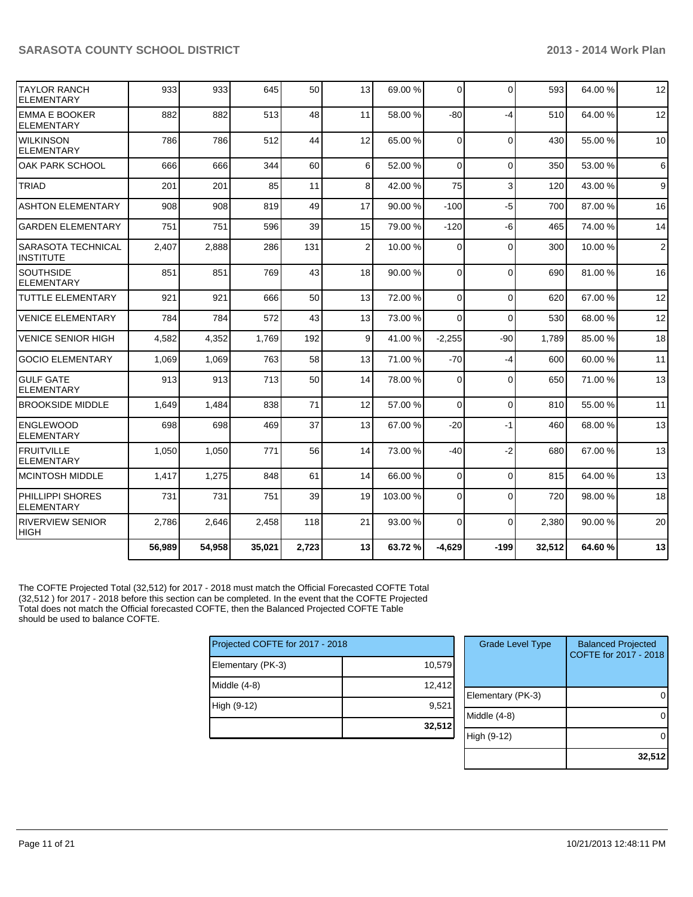| ITAYLOR RANCH<br><b>ELEMENTARY</b>            | 933    | 933    | 645    | 50    | 13             | 69.00 %  | $\Omega$       | $\Omega$     | 593    | 64.00%  | 12             |
|-----------------------------------------------|--------|--------|--------|-------|----------------|----------|----------------|--------------|--------|---------|----------------|
| <b>EMMA E BOOKER</b><br><b>ELEMENTARY</b>     | 882    | 882    | 513    | 48    | 11             | 58.00 %  | $-80$          | $-4$         | 510    | 64.00%  | 12             |
| <b>WILKINSON</b><br><b>ELEMENTARY</b>         | 786    | 786    | 512    | 44    | 12             | 65.00 %  | $\Omega$       | $\Omega$     | 430    | 55.00 % | 10             |
| OAK PARK SCHOOL                               | 666    | 666    | 344    | 60    | 6 <sup>1</sup> | 52.00 %  | $\Omega$       | $\Omega$     | 350    | 53.00 % | 6              |
| <b>TRIAD</b>                                  | 201    | 201    | 85     | 11    | 8 <sup>1</sup> | 42.00 %  | 75             | 3            | 120    | 43.00 % | $\overline{9}$ |
| <b>ASHTON ELEMENTARY</b>                      | 908    | 908    | 819    | 49    | 17             | 90.00 %  | $-100$         | $-5$         | 700    | 87.00 % | 16             |
| <b>GARDEN ELEMENTARY</b>                      | 751    | 751    | 596    | 39    | 15             | 79.00 %  | $-120$         | $-6$         | 465    | 74.00%  | 14             |
| <b>SARASOTA TECHNICAL</b><br><b>INSTITUTE</b> | 2,407  | 2,888  | 286    | 131   | $\overline{2}$ | 10.00 %  | $\Omega$       | $\Omega$     | 300    | 10.00%  | $\overline{2}$ |
| <b>SOUTHSIDE</b><br><b>ELEMENTARY</b>         | 851    | 851    | 769    | 43    | 18             | 90.00 %  | $\Omega$       | $\Omega$     | 690    | 81.00%  | 16             |
| <b>TUTTLE ELEMENTARY</b>                      | 921    | 921    | 666    | 50    | 13             | 72.00 %  | $\Omega$       | $\Omega$     | 620    | 67.00%  | 12             |
| <b>VENICE ELEMENTARY</b>                      | 784    | 784    | 572    | 43    | 13             | 73.00 %  | $\Omega$       | $\Omega$     | 530    | 68.00%  | 12             |
| <b>VENICE SENIOR HIGH</b>                     | 4,582  | 4,352  | 1,769  | 192   | $\overline{9}$ | 41.00 %  | $-2,255$       | $-90$        | 1.789  | 85.00 % | 18             |
| <b>GOCIO ELEMENTARY</b>                       | 1,069  | 1,069  | 763    | 58    | 13             | 71.00 %  | $-70$          | $-4$         | 600    | 60.00%  | 11             |
| <b>GULF GATE</b><br><b>ELEMENTARY</b>         | 913    | 913    | 713    | 50    | 14             | 78.00 %  | $\Omega$       | 0            | 650    | 71.00 % | 13             |
| <b>BROOKSIDE MIDDLE</b>                       | 1,649  | 1,484  | 838    | 71    | 12             | 57.00 %  | $\overline{0}$ | $\mathbf 0$  | 810    | 55.00 % | 11             |
| <b>ENGLEWOOD</b><br><b>ELEMENTARY</b>         | 698    | 698    | 469    | 37    | 13             | 67.00 %  | $-20$          | $-1$         | 460    | 68.00%  | 13             |
| IFRUITVILLE<br><b>IELEMENTARY</b>             | 1,050  | 1,050  | 771    | 56    | 14             | 73.00 %  | -40            | $-2$         | 680    | 67.00%  | 13             |
| <b>MCINTOSH MIDDLE</b>                        | 1,417  | 1,275  | 848    | 61    | 14             | 66.00 %  | $\Omega$       | $\mathbf{0}$ | 815    | 64.00%  | 13             |
| PHILLIPPI SHORES<br><b>ELEMENTARY</b>         | 731    | 731    | 751    | 39    | 19             | 103.00 % | $\Omega$       | $\Omega$     | 720    | 98.00 % | 18             |
| <b>RIVERVIEW SENIOR</b><br><b>HIGH</b>        | 2.786  | 2.646  | 2.458  | 118   | 21             | 93.00 %  | $\Omega$       | $\Omega$     | 2.380  | 90.00 % | 20             |
|                                               | 56,989 | 54,958 | 35,021 | 2,723 | 13             | 63.72%   | $-4,629$       | $-199$       | 32,512 | 64.60%  | 13             |

The COFTE Projected Total (32,512) for 2017 - 2018 must match the Official Forecasted COFTE Total (32,512 ) for 2017 - 2018 before this section can be completed. In the event that the COFTE Projected Total does not match the Official forecasted COFTE, then the Balanced Projected COFTE Table should be used to balance COFTE.

| Projected COFTE for 2017 - 2018 |        |  |  |  |  |  |
|---------------------------------|--------|--|--|--|--|--|
| Elementary (PK-3)               | 10,579 |  |  |  |  |  |
| Middle (4-8)                    | 12,412 |  |  |  |  |  |
| High (9-12)                     | 9,521  |  |  |  |  |  |
|                                 | 32,512 |  |  |  |  |  |

| <b>Grade Level Type</b> | <b>Balanced Projected</b><br>COFTE for 2017 - 2018 |
|-------------------------|----------------------------------------------------|
| Elementary (PK-3)       |                                                    |
| Middle (4-8)            |                                                    |
| High (9-12)             |                                                    |
|                         | 32,51                                              |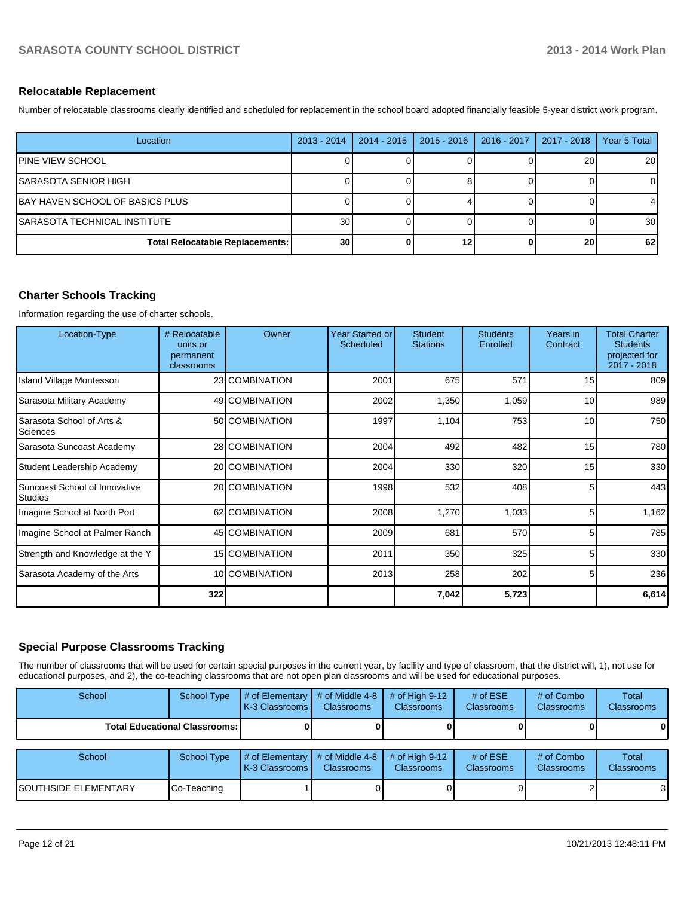#### **Relocatable Replacement**

Number of relocatable classrooms clearly identified and scheduled for replacement in the school board adopted financially feasible 5-year district work program.

| Location                               | $2013 - 2014$   | 2014 - 2015 | $2015 - 2016$ | 2016 - 2017 | 2017 - 2018 | Year 5 Total    |
|----------------------------------------|-----------------|-------------|---------------|-------------|-------------|-----------------|
| <b>IPINE VIEW SCHOOL</b>               |                 |             |               |             | 20          | 20              |
| ISARASOTA SENIOR HIGH                  |                 |             |               |             |             |                 |
| BAY HAVEN SCHOOL OF BASICS PLUS        |                 |             |               |             |             |                 |
| ISARASOTA TECHNICAL INSTITUTE          | 30 <sub>l</sub> |             |               |             |             | 30 <sub>1</sub> |
| <b>Total Relocatable Replacements:</b> | 30 <sub>l</sub> |             | 12            |             | 20          | 62              |

### **Charter Schools Tracking**

Information regarding the use of charter schools.

| Location-Type                            | # Relocatable<br>units or<br>permanent<br>classrooms | Owner          | <b>Year Started or</b><br><b>Scheduled</b> | <b>Student</b><br><b>Stations</b> | <b>Students</b><br>Enrolled | Years in<br>Contract | <b>Total Charter</b><br><b>Students</b><br>projected for<br>2017 - 2018 |
|------------------------------------------|------------------------------------------------------|----------------|--------------------------------------------|-----------------------------------|-----------------------------|----------------------|-------------------------------------------------------------------------|
| Island Village Montessori                |                                                      | 23 COMBINATION | 2001                                       | 675                               | 571                         | 15                   | 809                                                                     |
| Sarasota Military Academy                |                                                      | 49 COMBINATION | 2002                                       | 1,350                             | 1,059                       | 10                   | 989                                                                     |
| Sarasota School of Arts &<br>Sciences    |                                                      | 50 COMBINATION | 1997                                       | 1,104                             | 753                         | 10                   | 750                                                                     |
| Sarasota Suncoast Academy                |                                                      | 28 COMBINATION | 2004                                       | 492                               | 482                         | 15                   | 780                                                                     |
| Student Leadership Academy               |                                                      | 20 COMBINATION | 2004                                       | 330                               | 320                         | 15                   | 330                                                                     |
| Suncoast School of Innovative<br>Studies |                                                      | 20 COMBINATION | 1998                                       | 532                               | 408                         | 5                    | 443                                                                     |
| Imagine School at North Port             |                                                      | 62 COMBINATION | 2008                                       | 1,270                             | 1,033                       | 5                    | 1,162                                                                   |
| Imagine School at Palmer Ranch           |                                                      | 45 COMBINATION | 2009                                       | 681                               | 570                         | 5                    | 785                                                                     |
| Strength and Knowledge at the Y          |                                                      | 15 COMBINATION | 2011                                       | 350                               | 325                         | 5                    | 330                                                                     |
| Sarasota Academy of the Arts             |                                                      | 10 COMBINATION | 2013                                       | 258                               | 202                         | 5                    | 236                                                                     |
|                                          | 322                                                  |                |                                            | 7,042                             | 5,723                       |                      | 6,614                                                                   |

#### **Special Purpose Classrooms Tracking**

The number of classrooms that will be used for certain special purposes in the current year, by facility and type of classroom, that the district will, 1), not use for educational purposes, and 2), the co-teaching classrooms that are not open plan classrooms and will be used for educational purposes.

| School                      | School Type                            | # of Elementary<br>K-3 Classrooms | # of Middle 4-8<br><b>Classrooms</b> | # of High $9-12$<br><b>Classrooms</b> | # of $ESE$<br><b>Classrooms</b> | # of Combo<br>Classrooms | <b>Total</b><br>Classrooms        |
|-----------------------------|----------------------------------------|-----------------------------------|--------------------------------------|---------------------------------------|---------------------------------|--------------------------|-----------------------------------|
|                             | <b>Total Educational Classrooms: I</b> |                                   |                                      |                                       |                                 |                          |                                   |
|                             |                                        |                                   |                                      |                                       |                                 |                          |                                   |
| School                      | School Type                            | # of Elementary<br>K-3 Classrooms | # of Middle 4-8<br><b>Classrooms</b> | # of High $9-12$<br><b>Classrooms</b> | # of $ESE$<br><b>Classrooms</b> | # of Combo<br>Classrooms | <b>Total</b><br><b>Classrooms</b> |
| <b>SOUTHSIDE ELEMENTARY</b> | Co-Teaching                            |                                   |                                      |                                       |                                 |                          |                                   |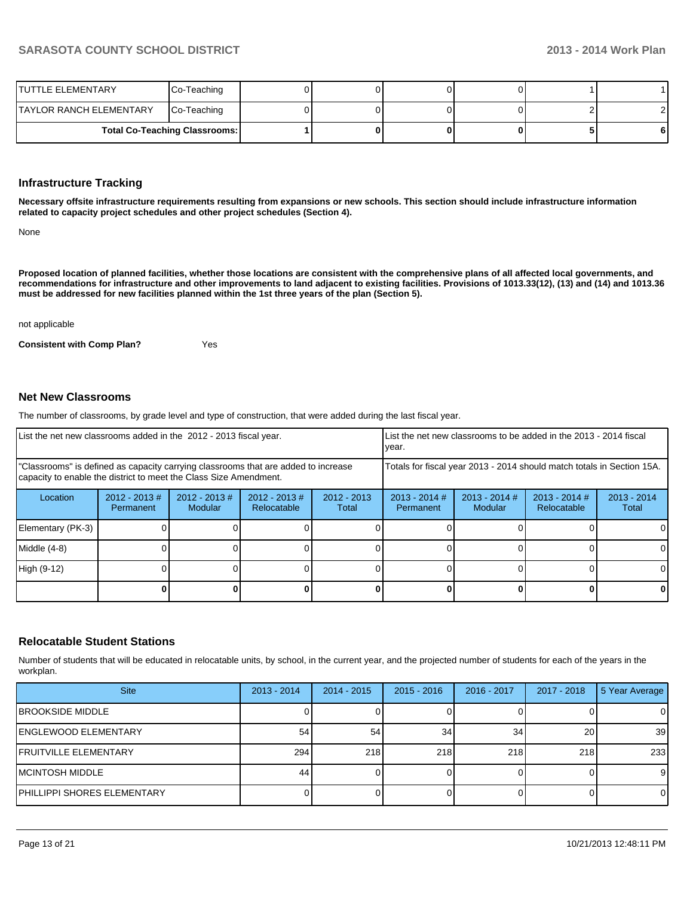| ITUTTLE ELEMENTARY       | Co-Teaching                          |  |  |   |
|--------------------------|--------------------------------------|--|--|---|
| ITAYLOR RANCH ELEMENTARY | Co-Teaching                          |  |  |   |
|                          | <b>Total Co-Teaching Classrooms:</b> |  |  | 6 |

#### **Infrastructure Tracking**

**Necessary offsite infrastructure requirements resulting from expansions or new schools. This section should include infrastructure information related to capacity project schedules and other project schedules (Section 4).**

None

**Proposed location of planned facilities, whether those locations are consistent with the comprehensive plans of all affected local governments, and recommendations for infrastructure and other improvements to land adjacent to existing facilities. Provisions of 1013.33(12), (13) and (14) and 1013.36 must be addressed for new facilities planned within the 1st three years of the plan (Section 5).**

not applicable

**Consistent with Comp Plan?** Yes

#### **Net New Classrooms**

The number of classrooms, by grade level and type of construction, that were added during the last fiscal year.

| List the net new classrooms added in the 2012 - 2013 fiscal year.                                                                                       |                               |                                   | List the net new classrooms to be added in the 2013 - 2014 fiscal<br>vear. |                        |                              |                            |                                |                        |
|---------------------------------------------------------------------------------------------------------------------------------------------------------|-------------------------------|-----------------------------------|----------------------------------------------------------------------------|------------------------|------------------------------|----------------------------|--------------------------------|------------------------|
| "Classrooms" is defined as capacity carrying classrooms that are added to increase<br>capacity to enable the district to meet the Class Size Amendment. |                               |                                   | Totals for fiscal year 2013 - 2014 should match totals in Section 15A.     |                        |                              |                            |                                |                        |
| Location                                                                                                                                                | $2012 - 2013 \#$<br>Permanent | $2012 - 2013$ #<br><b>Modular</b> | $2012 - 2013$ #<br>Relocatable                                             | $2012 - 2013$<br>Total | $2013 - 2014$ #<br>Permanent | $2013 - 2014$ #<br>Modular | $2013 - 2014$ #<br>Relocatable | $2013 - 2014$<br>Total |
| Elementary (PK-3)                                                                                                                                       |                               |                                   |                                                                            |                        |                              |                            |                                |                        |
| $Middle (4-8)$                                                                                                                                          |                               |                                   |                                                                            |                        |                              |                            |                                |                        |
| High (9-12)                                                                                                                                             |                               |                                   |                                                                            |                        |                              |                            |                                |                        |
|                                                                                                                                                         |                               |                                   |                                                                            |                        |                              |                            |                                | 0                      |

#### **Relocatable Student Stations**

Number of students that will be educated in relocatable units, by school, in the current year, and the projected number of students for each of the years in the workplan.

| <b>Site</b>                   | $2013 - 2014$ | $2014 - 2015$ | $2015 - 2016$ | 2016 - 2017 | 2017 - 2018 | 5 Year Average |
|-------------------------------|---------------|---------------|---------------|-------------|-------------|----------------|
| <b>BROOKSIDE MIDDLE</b>       |               |               |               |             |             | $\Omega$       |
| lENGLEWOOD ELEMENTARY         | 54            | 54            | 34            | 34          | 20          | 39             |
| <b>IFRUITVILLE ELEMENTARY</b> | 294           | 218           | 218           | 218         | 218         | 233            |
| IMCINTOSH MIDDLE              | 44            |               |               |             |             | 9              |
| PHILLIPPI SHORES ELEMENTARY   |               |               |               |             |             | 0              |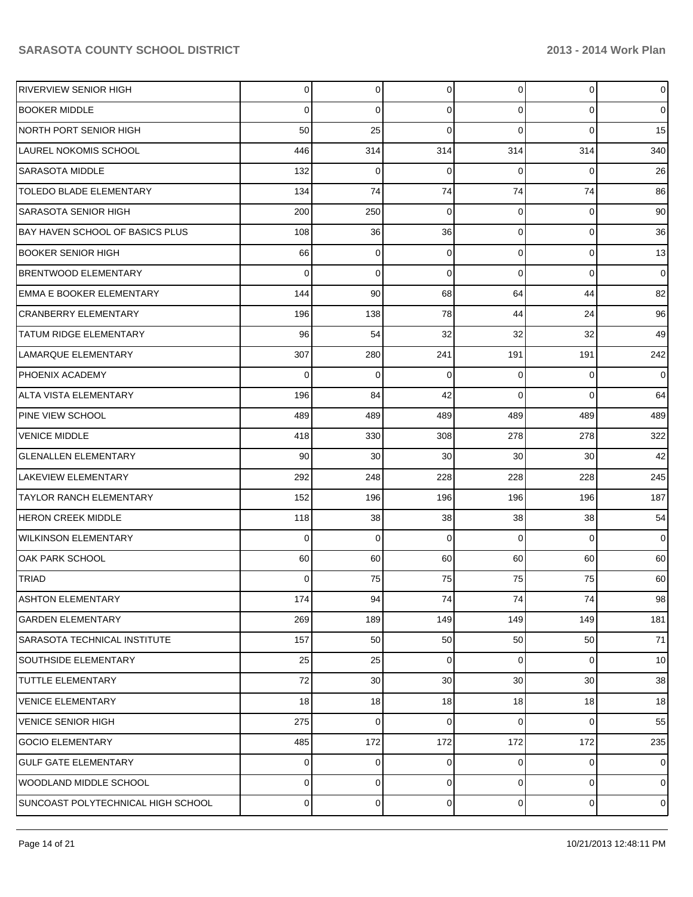| RIVERVIEW SENIOR HIGH                  | 0           | $\overline{0}$ | 0           | $\Omega$        | $\mathbf{0}$   | $\overline{0}$  |
|----------------------------------------|-------------|----------------|-------------|-----------------|----------------|-----------------|
| <b>BOOKER MIDDLE</b>                   | $\mathbf 0$ | 0              | 0           | $\Omega$        | $\overline{0}$ | $\overline{0}$  |
| NORTH PORT SENIOR HIGH                 | 50          | 25             | 0           | $\Omega$        | $\Omega$       | 15              |
| LAUREL NOKOMIS SCHOOL                  | 446         | 314            | 314         | 314             | 314            | 340             |
| <b>SARASOTA MIDDLE</b>                 | 132         | 0              | 0           | $\Omega$        | 0              | 26              |
| TOLEDO BLADE ELEMENTARY                | 134         | 74             | 74          | 74              | 74             | 86              |
| <b>SARASOTA SENIOR HIGH</b>            | 200         | 250            | 0           | $\Omega$        | $\mathbf 0$    | 90              |
| <b>BAY HAVEN SCHOOL OF BASICS PLUS</b> | 108         | 36             | 36          | $\Omega$        | $\overline{0}$ | 36              |
| <b>BOOKER SENIOR HIGH</b>              | 66          | 0              | 0           | $\Omega$        | $\overline{0}$ | 13              |
| <b>BRENTWOOD ELEMENTARY</b>            | $\Omega$    | $\mathbf 0$    | $\mathbf 0$ | $\Omega$        | $\overline{0}$ | $\overline{0}$  |
| <b>EMMA E BOOKER ELEMENTARY</b>        | 144         | 90             | 68          | 64              | 44             | 82              |
| <b>CRANBERRY ELEMENTARY</b>            | 196         | 138            | 78          | 44              | 24             | 96              |
| <b>TATUM RIDGE ELEMENTARY</b>          | 96          | 54             | 32          | 32              | 32             | 49              |
| LAMARQUE ELEMENTARY                    | 307         | 280            | 241         | 191             | 191            | 242             |
| <b>PHOENIX ACADEMY</b>                 | 0           | 0              | 0           | $\Omega$        | $\mathbf 0$    | $\overline{0}$  |
| <b>ALTA VISTA ELEMENTARY</b>           | 196         | 84             | 42          | $\Omega$        | $\overline{0}$ | 64              |
| PINE VIEW SCHOOL                       | 489         | 489            | 489         | 489             | 489            | 489             |
| <b>VENICE MIDDLE</b>                   | 418         | 330            | 308         | 278             | 278            | 322             |
| <b>GLENALLEN ELEMENTARY</b>            | 90          | 30             | 30          | 30              | 30             | 42              |
| <b>LAKEVIEW ELEMENTARY</b>             | 292         | 248            | 228         | 228             | 228            | 245             |
| TAYLOR RANCH ELEMENTARY                | 152         | 196            | 196         | 196             | 196            | 187             |
| <b>HERON CREEK MIDDLE</b>              | 118         | 38             | 38          | 38              | 38             | 54              |
| <b>WILKINSON ELEMENTARY</b>            | $\mathbf 0$ | 0              | 0           | $\Omega$        | $\mathbf 0$    | $\overline{0}$  |
| OAK PARK SCHOOL                        | 60          | 60             | 60          | 60              | 60             | 60              |
| <b>TRIAD</b>                           | 0           | 75             | 75          | 75              | 75             | 60              |
| <b>ASHTON ELEMENTARY</b>               | 174         | 94             | 74          | 74              | 74             | 98              |
| <b>GARDEN ELEMENTARY</b>               | 269         | 189            | 149         | 149             | 149            | 181             |
| <b>SARASOTA TECHNICAL INSTITUTE</b>    | 157         | 50             | 50          | 50              | 50             | 71              |
| <b>SOUTHSIDE ELEMENTARY</b>            | 25          | 25             | 0           | $\overline{0}$  | $\overline{0}$ | 10 <sup>1</sup> |
| <b>TUTTLE ELEMENTARY</b>               | 72          | 30             | 30          | 30 <sup>°</sup> | 30             | 38              |
| <b>VENICE ELEMENTARY</b>               | 18          | 18             | 18          | 18              | 18             | 18              |
| <b>VENICE SENIOR HIGH</b>              | 275         | 0              | 0           | $\Omega$        | $\mathbf 0$    | 55              |
| <b>GOCIO ELEMENTARY</b>                | 485         | 172            | 172         | 172             | 172            | 235             |
| <b>GULF GATE ELEMENTARY</b>            | 0           | 0              | 0           | 0               | 0              | $\overline{0}$  |
| WOODLAND MIDDLE SCHOOL                 | 0           | 0              | 0           | $\overline{0}$  | $\overline{0}$ | $\overline{0}$  |
| SUNCOAST POLYTECHNICAL HIGH SCHOOL     | 0           | 0              | 0           | $\overline{0}$  | $\overline{0}$ | $\overline{0}$  |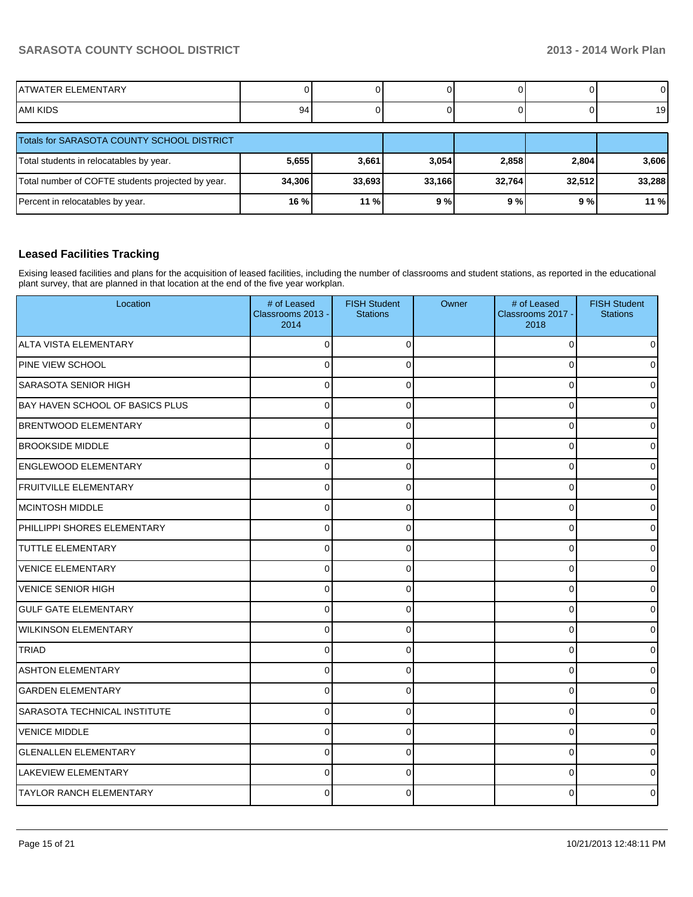| IATWATER ELEMENTARY |                     |  |  |                           |
|---------------------|---------------------|--|--|---------------------------|
| IAMI KIDS           | $\alpha$<br>$\cdot$ |  |  | $\ddot{\phantom{1}}$<br>৬ |

| Totals for SARASOTA COUNTY SCHOOL DISTRICT        |        |         |        |        |        |        |
|---------------------------------------------------|--------|---------|--------|--------|--------|--------|
| Total students in relocatables by year.           | 5,655  | 3,661   | 3,054  | 2,858  | 2,804  | 3,606  |
| Total number of COFTE students projected by year. | 34,306 | 33.6931 | 33.166 | 32.764 | 32.512 | 33,288 |
| Percent in relocatables by year.                  | $16\%$ | 11%     | 9%     | 9%     | 9 % l  | 11 %   |

#### **Leased Facilities Tracking**

Exising leased facilities and plans for the acquisition of leased facilities, including the number of classrooms and student stations, as reported in the educational plant survey, that are planned in that location at the end of the five year workplan.

| Location                            | # of Leased<br>Classrooms 2013 -<br>2014 | <b>FISH Student</b><br><b>Stations</b> | Owner | # of Leased<br>Classrooms 2017 -<br>2018 | <b>FISH Student</b><br><b>Stations</b> |
|-------------------------------------|------------------------------------------|----------------------------------------|-------|------------------------------------------|----------------------------------------|
| ALTA VISTA ELEMENTARY               | 0                                        | $\Omega$                               |       | 0                                        | $\overline{0}$                         |
| PINE VIEW SCHOOL                    | 0                                        | $\Omega$                               |       | 0                                        | $\overline{0}$                         |
| SARASOTA SENIOR HIGH                | 0                                        | $\Omega$                               |       | $\Omega$                                 | $\overline{0}$                         |
| BAY HAVEN SCHOOL OF BASICS PLUS     | 0                                        | $\Omega$                               |       | 0                                        | $\overline{0}$                         |
| <b>BRENTWOOD ELEMENTARY</b>         | 0                                        | $\Omega$                               |       | 0                                        | $\overline{0}$                         |
| <b>BROOKSIDE MIDDLE</b>             | 0                                        | $\Omega$                               |       | 0                                        | $\mathsf{O}$                           |
| <b>ENGLEWOOD ELEMENTARY</b>         | U                                        | $\Omega$                               |       | C                                        | $\mathsf{O}$                           |
| <b>FRUITVILLE ELEMENTARY</b>        | 0                                        | $\Omega$                               |       | 0                                        | $\overline{0}$                         |
| MCINTOSH MIDDLE                     | 0                                        | $\Omega$                               |       | $\Omega$                                 | $\overline{0}$                         |
| PHILLIPPI SHORES ELEMENTARY         | 0                                        | $\Omega$                               |       | $\Omega$                                 | $\overline{0}$                         |
| <b>TUTTLE ELEMENTARY</b>            | 0                                        | $\Omega$                               |       | $\Omega$                                 | $\overline{0}$                         |
| <b>VENICE ELEMENTARY</b>            | $\Omega$                                 | $\Omega$                               |       | $\Omega$                                 | $\overline{0}$                         |
| <b>VENICE SENIOR HIGH</b>           | 0                                        | $\Omega$                               |       | $\Omega$                                 | $\Omega$                               |
| <b>GULF GATE ELEMENTARY</b>         | $\Omega$                                 | $\Omega$                               |       | 0                                        | $\overline{0}$                         |
| <b>WILKINSON ELEMENTARY</b>         | 0                                        | $\Omega$                               |       | C                                        | $\overline{0}$                         |
| <b>TRIAD</b>                        | 0                                        | $\Omega$                               |       | 0                                        | $\overline{0}$                         |
| <b>ASHTON ELEMENTARY</b>            | 0                                        | $\Omega$                               |       | $\Omega$                                 | $\overline{0}$                         |
| <b>GARDEN ELEMENTARY</b>            | $\Omega$                                 | $\Omega$                               |       | $\Omega$                                 | $\overline{0}$                         |
| <b>SARASOTA TECHNICAL INSTITUTE</b> | 0                                        | 0                                      |       | 0                                        | $\overline{0}$                         |
| <b>VENICE MIDDLE</b>                | 0                                        | $\Omega$                               |       | 0                                        | $\overline{0}$                         |
| <b>GLENALLEN ELEMENTARY</b>         | $\Omega$                                 | $\Omega$                               |       | $\Omega$                                 | $\overline{0}$                         |
| <b>LAKEVIEW ELEMENTARY</b>          | $\Omega$                                 | $\Omega$                               |       | $\Omega$                                 | $\overline{0}$                         |
| <b>TAYLOR RANCH ELEMENTARY</b>      | 0                                        | $\Omega$                               |       | C                                        | $\overline{0}$                         |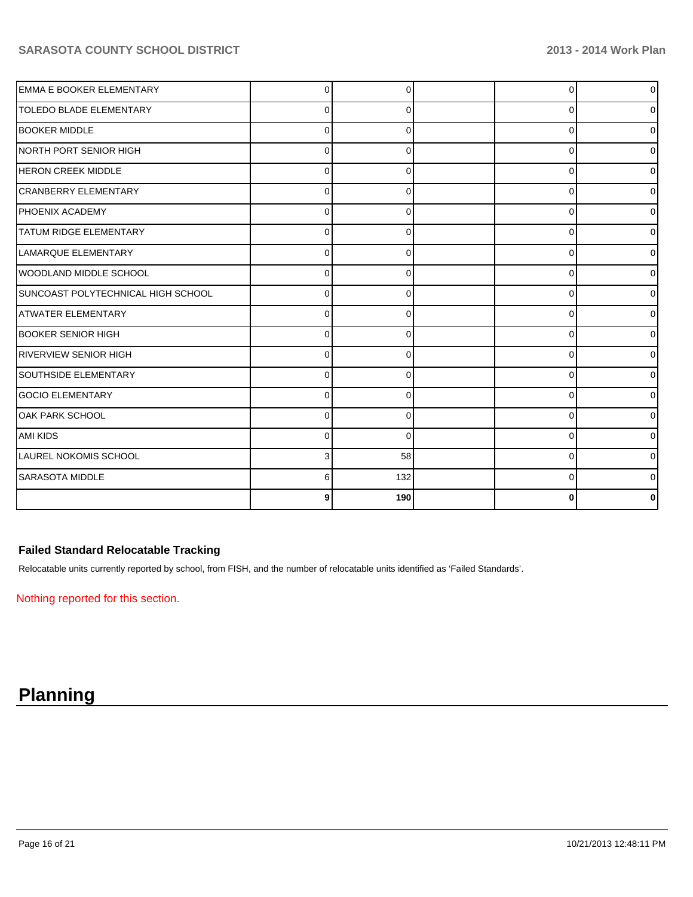| <b>EMMA E BOOKER ELEMENTARY</b>    | 0            | O        | $\Omega$ | $\circ$        |
|------------------------------------|--------------|----------|----------|----------------|
| <b>TOLEDO BLADE ELEMENTARY</b>     | 0            | 0        | $\Omega$ | $\overline{0}$ |
| <b>BOOKER MIDDLE</b>               | $\Omega$     | 0        | 0        | $\overline{0}$ |
| INORTH PORT SENIOR HIGH            | 0            |          | 0        | 01             |
| <b>HERON CREEK MIDDLE</b>          | $\Omega$     |          | 0        | $\overline{0}$ |
| CRANBERRY ELEMENTARY               | 0            |          | $\Omega$ | $\overline{0}$ |
| <b>PHOENIX ACADEMY</b>             | $\Omega$     | $\Omega$ | 0        | $\overline{0}$ |
| <b>TATUM RIDGE ELEMENTARY</b>      | 0            | 0        | 0        | 01             |
| LAMARQUE ELEMENTARY                | 0            | 0        | 0        | $\overline{0}$ |
| WOODLAND MIDDLE SCHOOL             | 0            |          | 0        | $\overline{0}$ |
| SUNCOAST POLYTECHNICAL HIGH SCHOOL | $\Omega$     | O        | $\Omega$ | $\overline{0}$ |
| <b>ATWATER ELEMENTARY</b>          | $\Omega$     | $\Omega$ | 0        | $\overline{0}$ |
| <b>BOOKER SENIOR HIGH</b>          | 0            | 0        | 0        | $\overline{0}$ |
| <b>RIVERVIEW SENIOR HIGH</b>       | U            |          | 0        | $\overline{0}$ |
| SOUTHSIDE ELEMENTARY               | <sup>0</sup> |          | $\Omega$ | $\overline{0}$ |
| GOCIO ELEMENTARY                   | $\Omega$     | $\Omega$ | $\Omega$ | $\Omega$       |
| IOAK PARK SCHOOL                   | $\Omega$     | 0        | 0        | 01             |
| <b>AMI KIDS</b>                    | $\Omega$     | 0        | 0        | $\overline{0}$ |
| <b>LAUREL NOKOMIS SCHOOL</b>       | 3            | 58       | 0        | $\overline{0}$ |
| SARASOTA MIDDLE                    | 6            | 132      | $\Omega$ | 0              |
|                                    | 9            | 190      | ŋ        | 0              |

## **Failed Standard Relocatable Tracking**

Relocatable units currently reported by school, from FISH, and the number of relocatable units identified as 'Failed Standards'.

Nothing reported for this section.

# **Planning**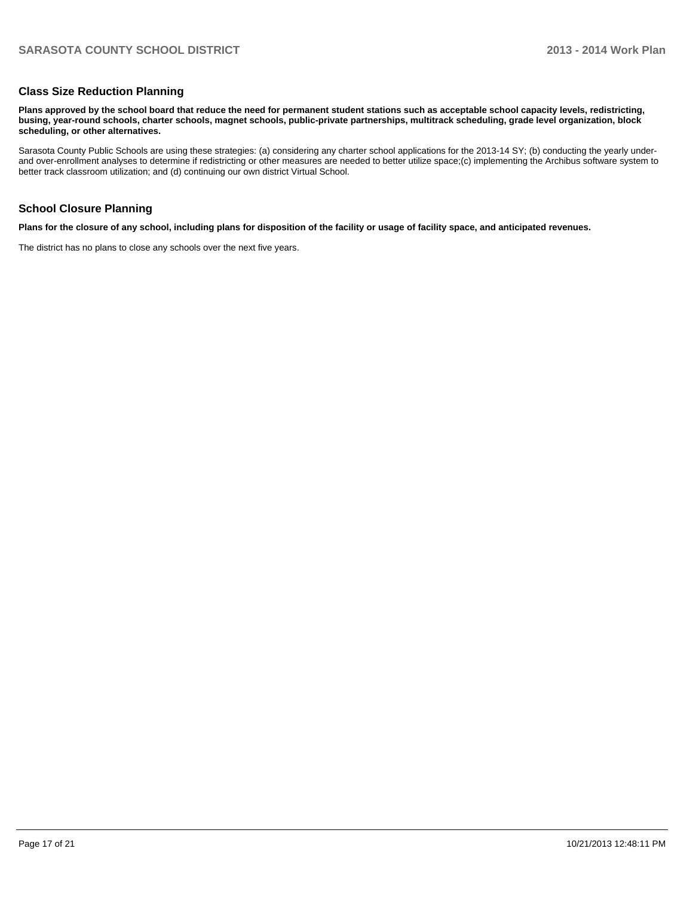#### **Class Size Reduction Planning**

**Plans approved by the school board that reduce the need for permanent student stations such as acceptable school capacity levels, redistricting, busing, year-round schools, charter schools, magnet schools, public-private partnerships, multitrack scheduling, grade level organization, block scheduling, or other alternatives.**

Sarasota County Public Schools are using these strategies: (a) considering any charter school applications for the 2013-14 SY; (b) conducting the yearly underand over-enrollment analyses to determine if redistricting or other measures are needed to better utilize space;(c) implementing the Archibus software system to better track classroom utilization; and (d) continuing our own district Virtual School.

#### **School Closure Planning**

**Plans for the closure of any school, including plans for disposition of the facility or usage of facility space, and anticipated revenues.**

The district has no plans to close any schools over the next five years.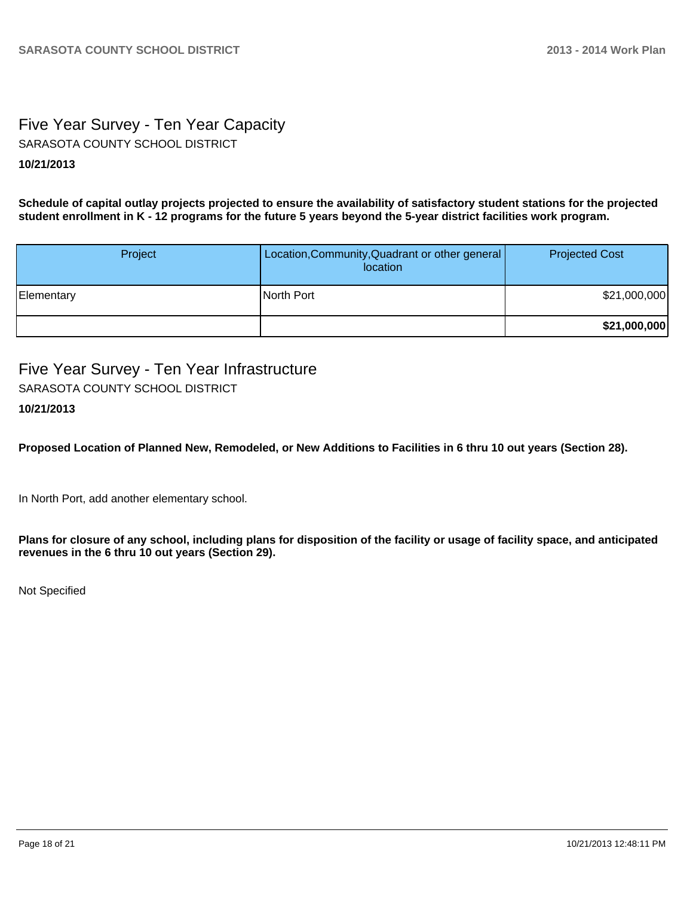# Five Year Survey - Ten Year Capacity **10/21/2013** SARASOTA COUNTY SCHOOL DISTRICT

**Schedule of capital outlay projects projected to ensure the availability of satisfactory student stations for the projected student enrollment in K - 12 programs for the future 5 years beyond the 5-year district facilities work program.**

| Project    | Location, Community, Quadrant or other general<br>location | <b>Projected Cost</b> |
|------------|------------------------------------------------------------|-----------------------|
| Elementary | North Port                                                 | \$21,000,000          |
|            |                                                            | \$21,000,000          |

Five Year Survey - Ten Year Infrastructure **10/21/2013** SARASOTA COUNTY SCHOOL DISTRICT

**Proposed Location of Planned New, Remodeled, or New Additions to Facilities in 6 thru 10 out years (Section 28).**

In North Port, add another elementary school.

**Plans for closure of any school, including plans for disposition of the facility or usage of facility space, and anticipated revenues in the 6 thru 10 out years (Section 29).**

Not Specified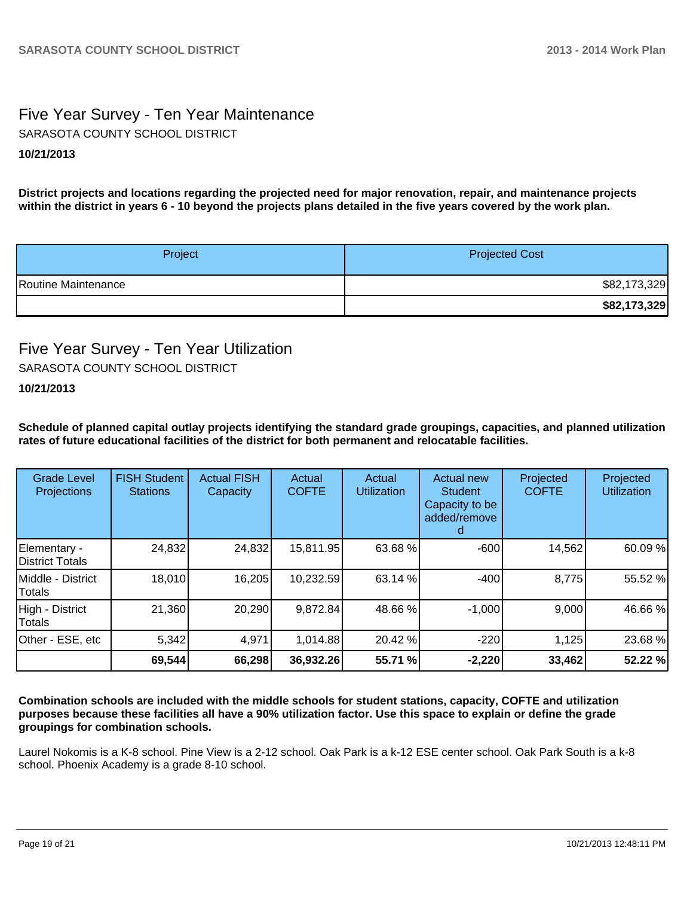# Five Year Survey - Ten Year Maintenance **10/21/2013** SARASOTA COUNTY SCHOOL DISTRICT

**District projects and locations regarding the projected need for major renovation, repair, and maintenance projects within the district in years 6 - 10 beyond the projects plans detailed in the five years covered by the work plan.**

| Project             | <b>Projected Cost</b> |
|---------------------|-----------------------|
| Routine Maintenance | \$82,173,329          |
|                     | \$82,173,329          |

# Five Year Survey - Ten Year Utilization SARASOTA COUNTY SCHOOL DISTRICT

### **10/21/2013**

**Schedule of planned capital outlay projects identifying the standard grade groupings, capacities, and planned utilization rates of future educational facilities of the district for both permanent and relocatable facilities.**

| <b>Grade Level</b><br>Projections       | <b>FISH Student</b><br><b>Stations</b> | <b>Actual FISH</b><br>Capacity | Actual<br><b>COFTE</b> | Actual<br><b>Utilization</b> | Actual new<br>Student<br>Capacity to be<br>added/remove | Projected<br><b>COFTE</b> | Projected<br>Utilization |
|-----------------------------------------|----------------------------------------|--------------------------------|------------------------|------------------------------|---------------------------------------------------------|---------------------------|--------------------------|
| Elementary -<br><b>IDistrict Totals</b> | 24,832                                 | 24,832                         | 15,811.95              | 63.68 %                      | $-600$                                                  | 14,562                    | 60.09 %                  |
| Middle - District<br>Totals             | 18,010                                 | 16,205                         | 10,232.59              | 63.14 %                      | $-400$                                                  | 8,775                     | 55.52 %                  |
| High - District<br>Totals               | 21,360                                 | 20,290                         | 9,872.84               | 48.66 %                      | $-1,000$                                                | 9,000                     | 46.66 %                  |
| Other - ESE, etc                        | 5,342                                  | 4,971                          | 1,014.88               | 20.42 %                      | $-220$                                                  | 1,125                     | 23.68 %                  |
|                                         | 69,544                                 | 66,298                         | 36,932.26              | 55.71 %                      | $-2,220$                                                | 33,462                    | 52.22 %                  |

**Combination schools are included with the middle schools for student stations, capacity, COFTE and utilization purposes because these facilities all have a 90% utilization factor. Use this space to explain or define the grade groupings for combination schools.**

Laurel Nokomis is a K-8 school. Pine View is a 2-12 school. Oak Park is a k-12 ESE center school. Oak Park South is a k-8 school. Phoenix Academy is a grade 8-10 school.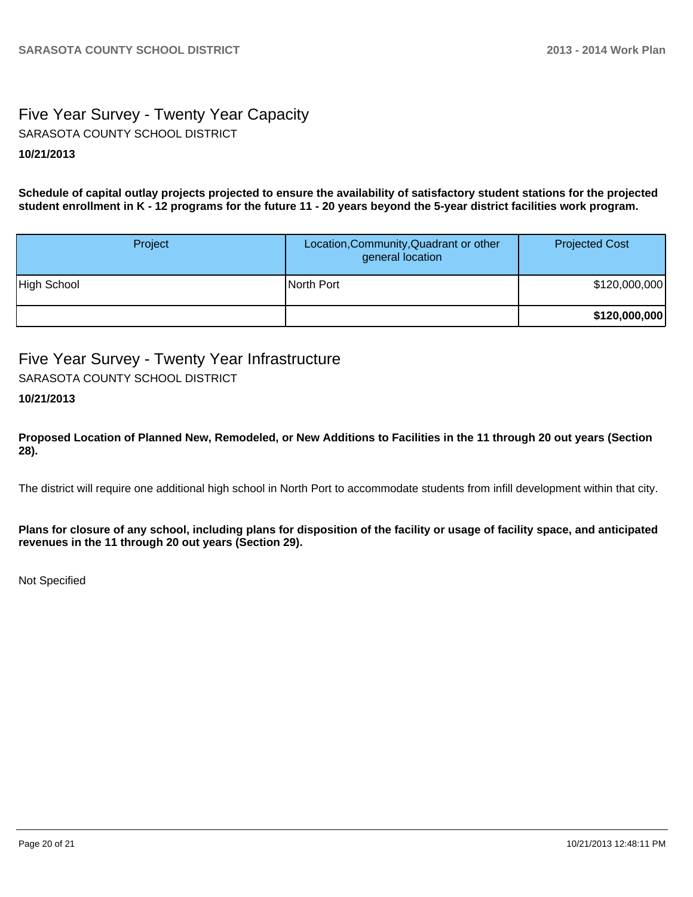# Five Year Survey - Twenty Year Capacity **10/21/2013** SARASOTA COUNTY SCHOOL DISTRICT

**Schedule of capital outlay projects projected to ensure the availability of satisfactory student stations for the projected student enrollment in K - 12 programs for the future 11 - 20 years beyond the 5-year district facilities work program.**

| Project     | Location, Community, Quadrant or other<br>general location | <b>Projected Cost</b> |
|-------------|------------------------------------------------------------|-----------------------|
| High School | North Port                                                 | \$120,000,000         |
|             |                                                            | \$120,000,000         |

# Five Year Survey - Twenty Year Infrastructure

SARASOTA COUNTY SCHOOL DISTRICT

### **10/21/2013**

**Proposed Location of Planned New, Remodeled, or New Additions to Facilities in the 11 through 20 out years (Section 28).**

The district will require one additional high school in North Port to accommodate students from infill development within that city.

**Plans for closure of any school, including plans for disposition of the facility or usage of facility space, and anticipated revenues in the 11 through 20 out years (Section 29).**

Not Specified